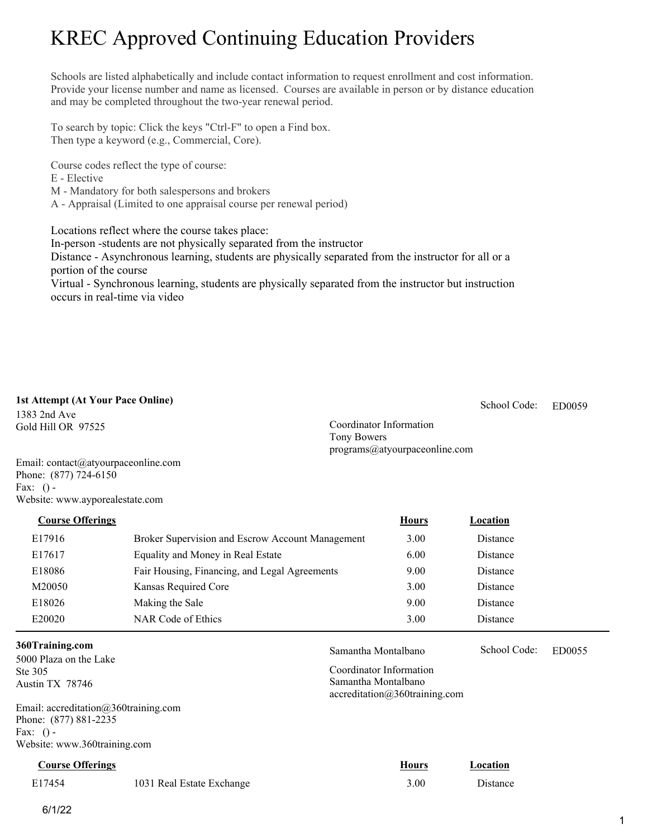# KREC Approved Continuing Education Providers

Schools are listed alphabetically and include contact information to request enrollment and cost information. Provide your license number and name as licensed. Courses are available in person or by distance education and may be completed throughout the two-year renewal period.

To search by topic: Click the keys "Ctrl-F" to open a Find box. Then type a keyword (e.g., Commercial, Core).

Course codes reflect the type of course:

- E Elective
- M Mandatory for both salespersons and brokers

A - Appraisal (Limited to one appraisal course per renewal period)

Locations reflect where the course takes place:

In-person -students are not physically separated from the instructor

Distance - Asynchronous learning, students are physically separated from the instructor for all or a portion of the course

Virtual - Synchronous learning, students are physically separated from the instructor but instruction occurs in real-time via video

### **1st Attempt (At Your Pace Online)**

1383 2nd Ave Gold Hill OR 97525

ED0059 School Code:

Coordinator Information Tony Bowers programs@atyourpaceonline.com

Coordinator Information Samantha Montalbano

accreditation@360training.com

Samantha Montalbano School Code: ED0055

School Code:

Email: contact@atyourpaceonline.com Phone: (877) 724-6150 Fax:  $()$  -Website: www.ayporealestate.com

E17916 Broker Supervision and Escrow Account Management 3.00 Distance E17617 Equality and Money in Real Estate 6.00 Distance E18086 Fair Housing, Financing, and Legal Agreements 9.00 Distance M20050 Kansas Required Core 3.00 Distance E18026 Making the Sale 9.00 Distance E20020 NAR Code of Ethics 3.00 Distance **Course Offerings** *Location* **<b>Hours** *Location* 

### **360Training.com**

5000 Plaza on the Lake Ste 305 Austin TX 78746

Email: accreditation@360training.com Phone: (877) 881-2235 Fax:  $()$  -Website: www.360training.com

**Course Offerings Hours Location** 

|        |                           | ------- | ---------- |
|--------|---------------------------|---------|------------|
| E17454 | 1031 Real Estate Exchange | 3.00    | Distance   |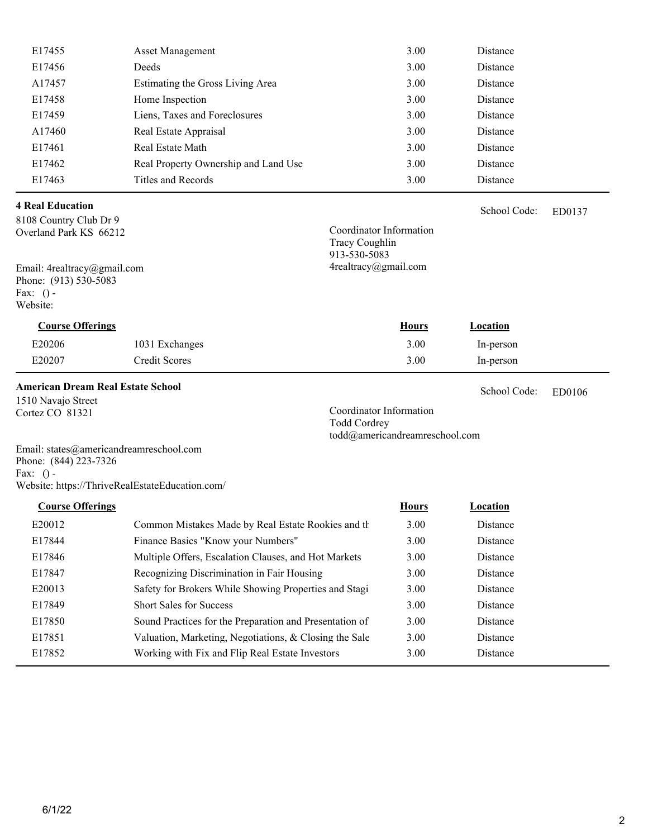| E17455 | <b>Asset Management</b>              | 3.00 | Distance |
|--------|--------------------------------------|------|----------|
| E17456 | Deeds                                | 3.00 | Distance |
| A17457 | Estimating the Gross Living Area     | 3.00 | Distance |
| E17458 | Home Inspection                      | 3.00 | Distance |
| E17459 | Liens, Taxes and Foreclosures        | 3.00 | Distance |
| A17460 | Real Estate Appraisal                | 3.00 | Distance |
| E17461 | Real Estate Math                     | 3.00 | Distance |
| E17462 | Real Property Ownership and Land Use | 3.00 | Distance |
| E17463 | Titles and Records                   | 3.00 | Distance |
|        |                                      |      |          |

### **4 Real Education**

8108 Country Club Dr 9 Overland Park KS 66212

Email: 4realtracy@gmail.com Phone: (913) 530-5083 Fax:  $()$  -Website:

### Coordinator Information Tracy Coughlin 913-530-5083 4realtracy@gmail.com

| <b>Course Offerings</b> |                | <b>Hours</b> | Location  |
|-------------------------|----------------|--------------|-----------|
| E20206                  | 1031 Exchanges | 3.00         | In-person |
| E20207                  | Credit Scores  | 3.00         | In-person |

**American Dream Real Estate School**

1510 Navajo Street Cortez CO 81321

ED0106 School Code:

ED0137

School Code:

Coordinator Information Todd Cordrey todd@americandreamreschool.com

Email: states@americandreamreschool.com Phone: (844) 223-7326 Fax:  $()$  -Website: https://ThriveRealEstateEducation.com/

| <b>Course Offerings</b> |                                                         | <b>Hours</b> | Location        |
|-------------------------|---------------------------------------------------------|--------------|-----------------|
| E20012                  | Common Mistakes Made by Real Estate Rookies and th      | 3.00         | Distance        |
| E17844                  | Finance Basics "Know your Numbers"                      | 3.00         | Distance        |
| E17846                  | Multiple Offers, Escalation Clauses, and Hot Markets    | 3.00         | Distance        |
| E17847                  | Recognizing Discrimination in Fair Housing              | 3.00         | Distance        |
| E20013                  | Safety for Brokers While Showing Properties and Stagi   | 3.00         | Distance        |
| E17849                  | <b>Short Sales for Success</b>                          | 3.00         | Distance        |
| E17850                  | Sound Practices for the Preparation and Presentation of | 3.00         | Distance        |
| E17851                  | Valuation, Marketing, Negotiations, & Closing the Sale  | 3.00         | Distance        |
| E17852                  | Working with Fix and Flip Real Estate Investors         | 3.00         | <b>Distance</b> |
|                         |                                                         |              |                 |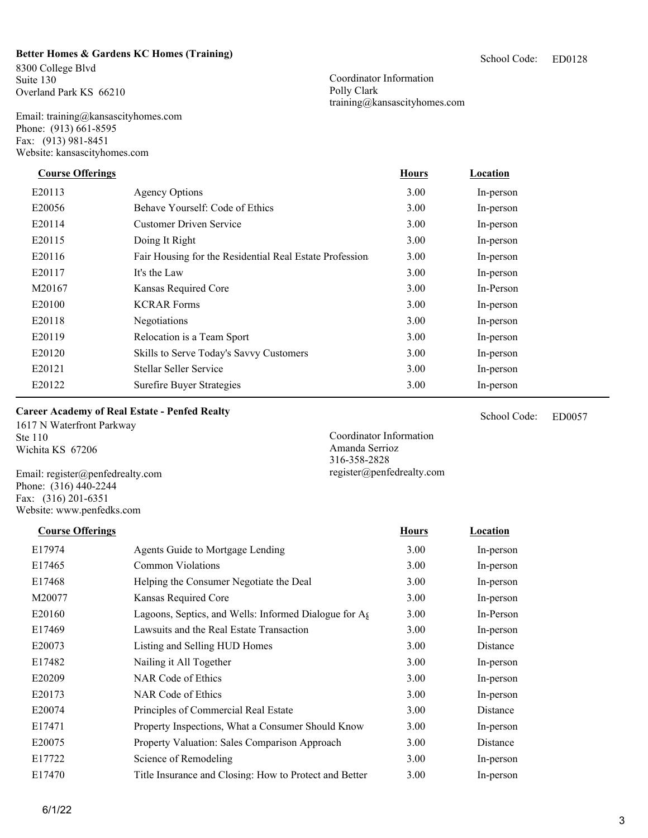**Better Homes & Gardens KC Homes (Training)**

8300 College Blvd Suite 130 Overland Park KS 66210

Email: training@kansascityhomes.com Phone: (913) 661-8595 Fax: (913) 981-8451 Website: kansascityhomes.com

Coordinator Information Polly Clark training@kansascityhomes.com

| <b>Course Offerings</b> |                                                         | <b>Hours</b> | Location  |
|-------------------------|---------------------------------------------------------|--------------|-----------|
| E20113                  | Agency Options                                          | 3.00         | In-person |
| E20056                  | Behave Yourself: Code of Ethics                         | 3.00         | In-person |
| E20114                  | <b>Customer Driven Service</b>                          | 3.00         | In-person |
| E20115                  | Doing It Right                                          | 3.00         | In-person |
| E20116                  | Fair Housing for the Residential Real Estate Profession | 3.00         | In-person |
| E20117                  | It's the Law                                            | 3.00         | In-person |
| M20167                  | Kansas Required Core                                    | 3.00         | In-Person |
| E20100                  | <b>KCRAR Forms</b>                                      | 3.00         | In-person |
| E20118                  | Negotiations                                            | 3.00         | In-person |
| E20119                  | Relocation is a Team Sport                              | 3.00         | In-person |
| E20120                  | Skills to Serve Today's Savvy Customers                 | 3.00         | In-person |
| E20121                  | Stellar Seller Service                                  | 3.00         | In-person |
| E20122                  | Surefire Buyer Strategies                               | 3.00         | In-person |

### **Career Academy of Real Estate - Penfed Realty**

1617 N Waterfront Parkway Ste 110 Wichita KS 67206

Email: register@penfedrealty.com Phone: (316) 440-2244 Fax: (316) 201-6351 Website: www.penfedks.com

E20160 Lagoons, Septics, and Wells: Informed Dialogue for A<sub>g</sub>ents 3.00 In-Person E17470 Title Insurance and Closing: How to Protect and Better 3.00 In-person E17974 Agents Guide to Mortgage Lending 3.00 In-person E17465 Common Violations 3.00 In-person E17468 Helping the Consumer Negotiate the Deal 3.00 In-person M20077 Kansas Required Core 3.00 In-person E17469 Lawsuits and the Real Estate Transaction 3.00 In-person E20073 Listing and Selling HUD Homes 3.00 Distance E17482 Nailing it All Together 3.00 In-person E20209 NAR Code of Ethics 3.00 In-person E20173 NAR Code of Ethics 3.00 In-person E20074 Principles of Commercial Real Estate 3.00 Distance E17471 Property Inspections, What a Consumer Should Know 3.00 In-person E20075 Property Valuation: Sales Comparison Approach 3.00 Distance E17722 Science of Remodeling 3.00 In-person **Course Offerings Course Offerings** *Location* **<b>Hours** *Location* 

ED0057 School Code:

Coordinator Information Amanda Serrioz 316-358-2828 register@penfedrealty.com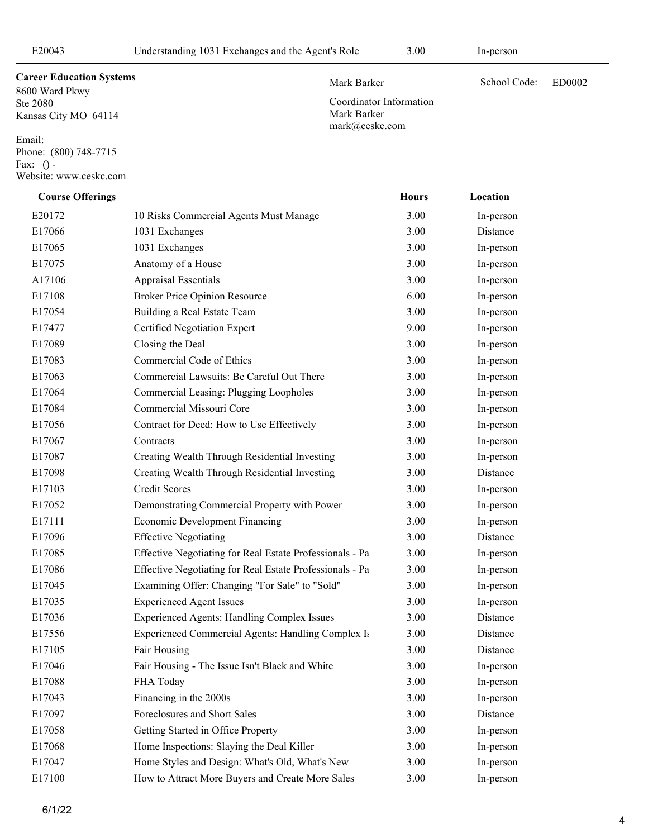Coordinator Information

Mark Barker mark@ceskc.com

### Mark Barker School Code: ED0002

8600 Ward Pkwy Ste 2080 Kansas City MO 64114 **Career Education Systems** 

Email: Phone: (800) 748-7715 Fax:  $()$  -Website: www.ceskc.com

## Effective Negotiating for Real Estate Professionals - Part 1 and 3.00 In-person E17086 Effective Negotiating for Real Estate Professionals - Part 2 and 3.00 In-person E17556 Experienced Commercial Agents: Handling Complex Issues 3.00 Distance E20172 10 Risks Commercial Agents Must Manage 3.00 In-person E17066 1031 Exchanges 3.00 Distance E17065 1031 Exchanges 3.00 In-person E17075 Anatomy of a House 3.00 In-person A17106 Appraisal Essentials 3.00 In-person E17108 Broker Price Opinion Resource 6.00 In-person E17054 Building a Real Estate Team 3.00 In-person E17477 Certified Negotiation Expert 9.00 In-person E17089 Closing the Deal 3.00 In-person E17083 Commercial Code of Ethics 3.00 In-person E17063 Commercial Lawsuits: Be Careful Out There 3.00 In-person E17064 Commercial Leasing: Plugging Loopholes 3.00 In-person E17084 Commercial Missouri Core 3.00 In-person E17056 Contract for Deed: How to Use Effectively 3.00 In-person E17067 Contracts 3.00 In-person E17087 Creating Wealth Through Residential Investing 3.00 In-person E17098 Creating Wealth Through Residential Investing 3.00 Distance E17103 Credit Scores 3.00 In-person E17052 Demonstrating Commercial Property with Power 3.00 In-person E17111 Economic Development Financing 3.00 In-person E17096 Effective Negotiating 3.00 Distance E17045 Examining Offer: Changing "For Sale" to "Sold" 3.00 In-person E17035 Experienced Agent Issues 3.00 In-person E17036 Experienced Agents: Handling Complex Issues 3.00 Distance E17105 Fair Housing 3.00 Distance E17046 Fair Housing - The Issue Isn't Black and White 3.00 In-person E17088 FHA Today 3.00 In-person E17043 Financing in the 2000s 3.00 In-person E17097 Foreclosures and Short Sales 3.00 Distance E17058 Getting Started in Office Property 3.00 In-person E17068 Home Inspections: Slaying the Deal Killer 3.00 In-person E17047 Home Styles and Design: What's Old, What's New 3.00 In-person E17100 How to Attract More Buyers and Create More Sales 3.00 In-person **Course Offerings** *Location* **<b>Course Offerings** *Location*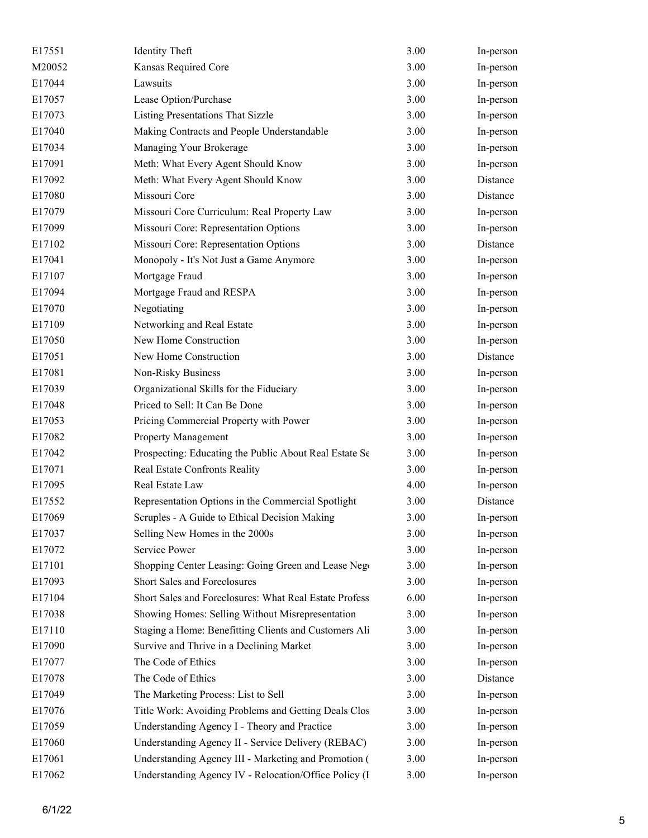| E17551 | <b>Identity Theft</b>                                  | 3.00 | In-person |
|--------|--------------------------------------------------------|------|-----------|
| M20052 | Kansas Required Core                                   | 3.00 | In-person |
| E17044 | Lawsuits                                               | 3.00 | In-person |
| E17057 | Lease Option/Purchase                                  | 3.00 | In-person |
| E17073 | Listing Presentations That Sizzle                      | 3.00 | In-person |
| E17040 | Making Contracts and People Understandable             | 3.00 | In-person |
| E17034 | Managing Your Brokerage                                | 3.00 | In-person |
| E17091 | Meth: What Every Agent Should Know                     | 3.00 | In-person |
| E17092 | Meth: What Every Agent Should Know                     | 3.00 | Distance  |
| E17080 | Missouri Core                                          | 3.00 | Distance  |
| E17079 | Missouri Core Curriculum: Real Property Law            | 3.00 | In-person |
| E17099 | Missouri Core: Representation Options                  | 3.00 | In-person |
| E17102 | Missouri Core: Representation Options                  | 3.00 | Distance  |
| E17041 | Monopoly - It's Not Just a Game Anymore                | 3.00 | In-person |
| E17107 | Mortgage Fraud                                         | 3.00 | In-person |
| E17094 | Mortgage Fraud and RESPA                               | 3.00 | In-person |
| E17070 | Negotiating                                            | 3.00 | In-person |
| E17109 | Networking and Real Estate                             | 3.00 | In-person |
| E17050 | New Home Construction                                  | 3.00 | In-person |
| E17051 | New Home Construction                                  | 3.00 | Distance  |
| E17081 | Non-Risky Business                                     | 3.00 | In-person |
| E17039 | Organizational Skills for the Fiduciary                | 3.00 | In-person |
| E17048 | Priced to Sell: It Can Be Done                         | 3.00 | In-person |
| E17053 | Pricing Commercial Property with Power                 | 3.00 | In-person |
| E17082 | Property Management                                    | 3.00 | In-person |
| E17042 | Prospecting: Educating the Public About Real Estate Se | 3.00 | In-person |
| E17071 | Real Estate Confronts Reality                          | 3.00 | In-person |
| E17095 | Real Estate Law                                        | 4.00 | In-person |
| E17552 | Representation Options in the Commercial Spotlight     | 3.00 | Distance  |
| E17069 | Scruples - A Guide to Ethical Decision Making          | 3.00 | In-person |
| E17037 | Selling New Homes in the 2000s                         | 3.00 | In-person |
| E17072 | Service Power                                          | 3.00 | In-person |
| E17101 | Shopping Center Leasing: Going Green and Lease Neg-    | 3.00 | In-person |
| E17093 | Short Sales and Foreclosures                           | 3.00 | In-person |
| E17104 | Short Sales and Foreclosures: What Real Estate Profess | 6.00 | In-person |
| E17038 | Showing Homes: Selling Without Misrepresentation       | 3.00 | In-person |
| E17110 | Staging a Home: Benefitting Clients and Customers Ali  | 3.00 | In-person |
| E17090 | Survive and Thrive in a Declining Market               | 3.00 | In-person |
| E17077 | The Code of Ethics                                     | 3.00 | In-person |
| E17078 | The Code of Ethics                                     | 3.00 | Distance  |
| E17049 | The Marketing Process: List to Sell                    | 3.00 | In-person |
| E17076 | Title Work: Avoiding Problems and Getting Deals Clos   | 3.00 | In-person |
| E17059 | Understanding Agency I - Theory and Practice           | 3.00 | In-person |
| E17060 | Understanding Agency II - Service Delivery (REBAC)     | 3.00 | In-person |
| E17061 | Understanding Agency III - Marketing and Promotion (   | 3.00 | In-person |
| E17062 | Understanding Agency IV - Relocation/Office Policy (I  | 3.00 | In-person |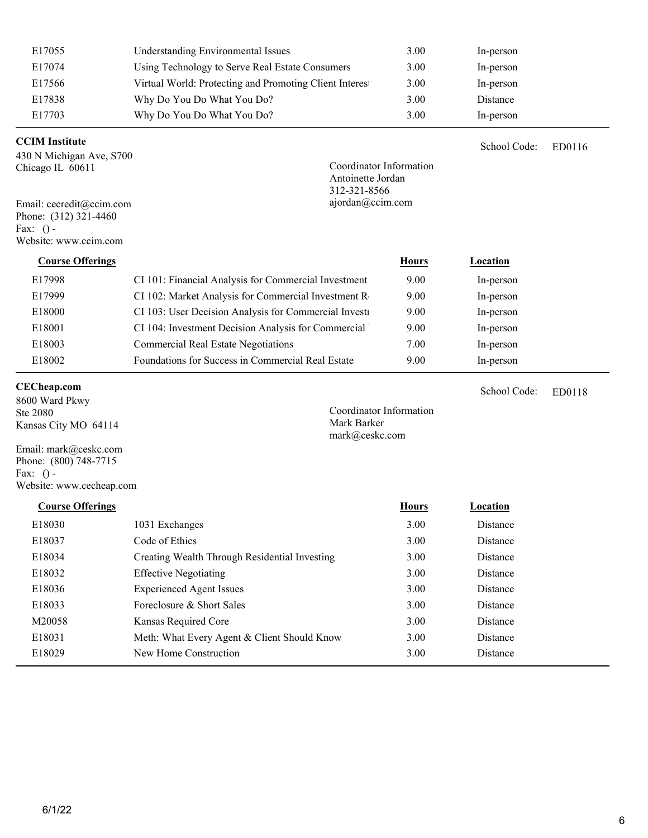| E17055                   | <b>Understanding Environmental Issues</b>              | 3.00         | In-person    |        |
|--------------------------|--------------------------------------------------------|--------------|--------------|--------|
| E17074                   | Using Technology to Serve Real Estate Consumers        | 3.00         | In-person    |        |
| E17566                   | Virtual World: Protecting and Promoting Client Interes | 3.00         | In-person    |        |
| E17838                   | Why Do You Do What You Do?                             | 3.00         | Distance     |        |
| E17703                   | Why Do You Do What You Do?                             | 3.00         | In-person    |        |
| <b>CCIM</b> Institute    |                                                        |              | School Code: | ED0116 |
| 430 N Michigan Ave, S700 |                                                        |              |              |        |
| Chicago IL 60611         | Coordinator Information                                |              |              |        |
|                          | Antoinette Jordan                                      |              |              |        |
| Email: cecredit@ccim.com | 312-321-8566<br>ajordan@ccim.com                       |              |              |        |
| Phone: (312) 321-4460    |                                                        |              |              |        |
| Fax: $()$ -              |                                                        |              |              |        |
| Website: www.ccim.com    |                                                        |              |              |        |
| <b>Course Offerings</b>  |                                                        | <b>Hours</b> | Location     |        |
| E17998                   | CI 101: Financial Analysis for Commercial Investment   | 9.00         | In-person    |        |
| E17999                   | CI 102: Market Analysis for Commercial Investment R    | 9.00         | In-person    |        |
| E18000                   | CI 103: User Decision Analysis for Commercial Investa  | 9.00         | In-person    |        |
| E18001                   | CI 104: Investment Decision Analysis for Commercial    | 9.00         | In-person    |        |
| E18003                   | <b>Commercial Real Estate Negotiations</b>             | 7.00         | In-person    |        |

E18002 Foundations for Success in Commercial Real Estate 9.00 In-person

### **CECheap.com**

8600 Ward Pkwy Ste 2080 Kansas City MO 64114

Email: mark@ceskc.com Phone: (800) 748-7715 Fax:  $()$  -Website: www.cecheap.com Coordinator Information Mark Barker mark@ceskc.com

| <b>Course Offerings</b> |                                               | <b>Hours</b> | Location        |
|-------------------------|-----------------------------------------------|--------------|-----------------|
| E18030                  | 1031 Exchanges                                | 3.00         | <b>Distance</b> |
| E18037                  | Code of Ethics                                | 3.00         | <b>Distance</b> |
| E18034                  | Creating Wealth Through Residential Investing | 3.00         | <b>Distance</b> |
| E18032                  | <b>Effective Negotiating</b>                  | 3.00         | Distance        |
| E18036                  | <b>Experienced Agent Issues</b>               | 3.00         | Distance        |
| E18033                  | Foreclosure & Short Sales                     | 3.00         | <b>Distance</b> |
| M20058                  | Kansas Required Core                          | 3.00         | Distance        |
| E18031                  | Meth: What Every Agent & Client Should Know   | 3.00         | Distance        |
| E18029                  | New Home Construction                         | 3.00         | Distance        |

ED0118

School Code: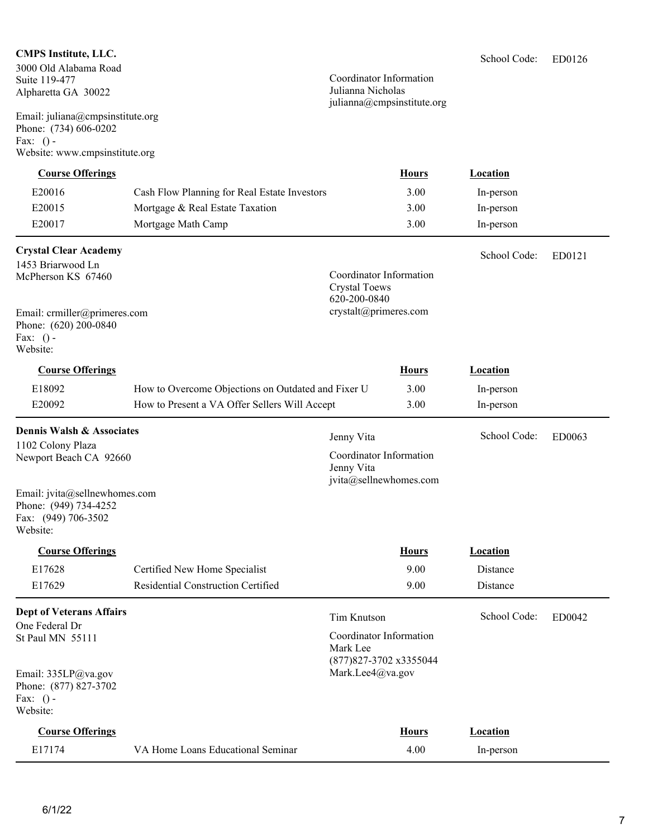### **CMPS Institute, LLC.**

3000 Old Alabama Road Suite 119-477 Alpharetta GA 30022

Email: juliana@cmpsinstitute.org Phone: (734) 606-0202 Fax:  $()$  -<br>Website: ..<br>Spotitute

### Coordinator Information Julianna Nicholas julianna@cmpsinstitute.org

| Website: www.cmpsinstitute.org       |                                                    |                                                                |              |              |        |
|--------------------------------------|----------------------------------------------------|----------------------------------------------------------------|--------------|--------------|--------|
| <b>Course Offerings</b>              |                                                    |                                                                | <b>Hours</b> | Location     |        |
| E20016                               | Cash Flow Planning for Real Estate Investors       |                                                                | 3.00         | In-person    |        |
| E20015                               | Mortgage & Real Estate Taxation                    |                                                                | 3.00         | In-person    |        |
| E20017                               | Mortgage Math Camp                                 |                                                                | 3.00         | In-person    |        |
| <b>Crystal Clear Academy</b>         |                                                    |                                                                |              | School Code: | ED0121 |
| 1453 Briarwood Ln                    |                                                    | Coordinator Information                                        |              |              |        |
| McPherson KS 67460                   |                                                    | <b>Crystal Toews</b>                                           |              |              |        |
|                                      |                                                    | 620-200-0840                                                   |              |              |        |
| Email: crmiller@primeres.com         |                                                    | crystalt@primeres.com                                          |              |              |        |
| Phone: (620) 200-0840<br>Fax: $()$ - |                                                    |                                                                |              |              |        |
| Website:                             |                                                    |                                                                |              |              |        |
| <b>Course Offerings</b>              |                                                    |                                                                | <b>Hours</b> | Location     |        |
| E18092                               | How to Overcome Objections on Outdated and Fixer U |                                                                | 3.00         | In-person    |        |
| E20092                               | How to Present a VA Offer Sellers Will Accept      |                                                                | 3.00         | In-person    |        |
| Dennis Walsh & Associates            |                                                    |                                                                |              | School Code: |        |
| 1102 Colony Plaza                    |                                                    | Jenny Vita                                                     |              |              | ED0063 |
| Newport Beach CA 92660               |                                                    | Coordinator Information<br>Jenny Vita                          |              |              |        |
|                                      |                                                    | jvita@sellnewhomes.com                                         |              |              |        |
| Email: jvita@sellnewhomes.com        |                                                    |                                                                |              |              |        |
| Phone: (949) 734-4252                |                                                    |                                                                |              |              |        |
| Fax: (949) 706-3502<br>Website:      |                                                    |                                                                |              |              |        |
| <b>Course Offerings</b>              |                                                    |                                                                | <b>Hours</b> | Location     |        |
| E17628                               | Certified New Home Specialist                      |                                                                | 9.00         | Distance     |        |
| E17629                               | Residential Construction Certified                 |                                                                | 9.00         | Distance     |        |
| <b>Dept of Veterans Affairs</b>      |                                                    | <b>Tim Knutson</b>                                             |              | School Code: | ED0042 |
| One Federal Dr                       |                                                    |                                                                |              |              |        |
| St Paul MN 55111                     |                                                    | Coordinator Information<br>Mark Lee<br>(877) 827-3702 x3355044 |              |              |        |
| Email: 335LP@va.gov                  |                                                    | Mark.Lee4@va.gov                                               |              |              |        |

VA Home Loans Educational Seminar 4.00 In-person

Email: 335LP@va.gov Phone: (877) 827-3702 Fax: () - Website:

**Course Offerings Location Hours** *Location* 

|--|--|

6/1/22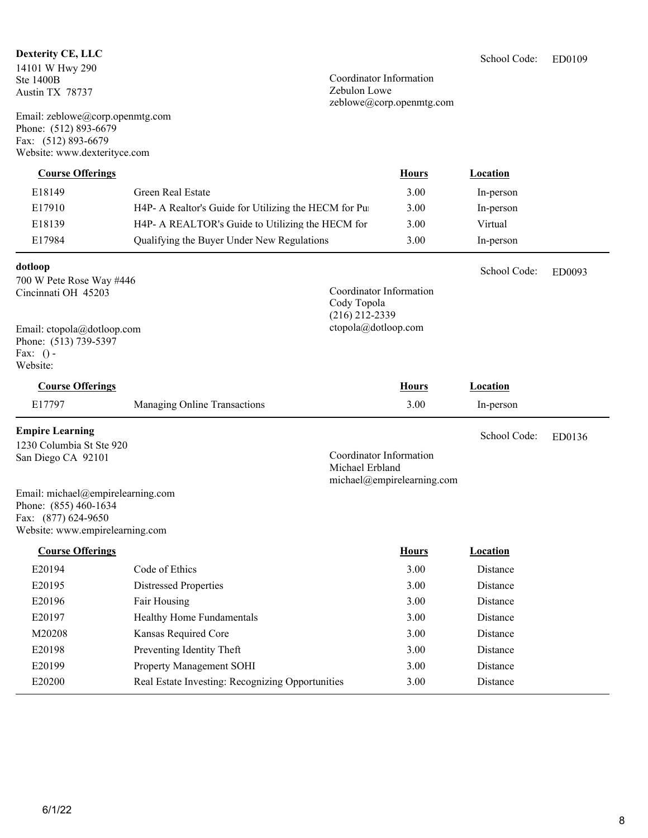### **Dexterity CE, LLC**

14101 W Hwy 290 Ste 1400B Austin TX 78737

Email: zeblowe@corp.openmtg.com Phone: (512) 893-6679 Fax: (512) 893-6679 Website: www.dexterityce.com

Coordinator Information Zebulon Lowe zeblowe@corp.openmtg.com

| <b>Course Offerings</b>                      |                                                      |                                            | <b>Hours</b>               | Location        |        |
|----------------------------------------------|------------------------------------------------------|--------------------------------------------|----------------------------|-----------------|--------|
| E18149                                       | Green Real Estate                                    |                                            | 3.00                       | In-person       |        |
| E17910                                       | H4P- A Realtor's Guide for Utilizing the HECM for Pu |                                            | 3.00                       | In-person       |        |
| E18139                                       | H4P- A REALTOR's Guide to Utilizing the HECM for     |                                            | 3.00                       | Virtual         |        |
| E17984                                       | Qualifying the Buyer Under New Regulations           |                                            | 3.00                       | In-person       |        |
| dotloop                                      |                                                      |                                            |                            | School Code:    | ED0093 |
| 700 W Pete Rose Way #446                     |                                                      | Coordinator Information                    |                            |                 |        |
| Cincinnati OH 45203                          |                                                      | Cody Topola                                |                            |                 |        |
|                                              |                                                      | $(216)$ 212-2339                           |                            |                 |        |
| Email: ctopola@dotloop.com                   |                                                      | ctopola@dotloop.com                        |                            |                 |        |
| Phone: (513) 739-5397<br>Fax: $()$ -         |                                                      |                                            |                            |                 |        |
| Website:                                     |                                                      |                                            |                            |                 |        |
| <b>Course Offerings</b>                      |                                                      |                                            | <b>Hours</b>               | Location        |        |
| E17797                                       | Managing Online Transactions                         |                                            | 3.00                       | In-person       |        |
| <b>Empire Learning</b>                       |                                                      |                                            |                            | School Code:    | ED0136 |
| 1230 Columbia St Ste 920                     |                                                      |                                            |                            |                 |        |
| San Diego CA 92101                           |                                                      | Coordinator Information<br>Michael Erbland |                            |                 |        |
|                                              |                                                      |                                            | michael@empirelearning.com |                 |        |
| Email: michael@empirelearning.com            |                                                      |                                            |                            |                 |        |
| Phone: (855) 460-1634<br>Fax: (877) 624-9650 |                                                      |                                            |                            |                 |        |
| Website: www.empirelearning.com              |                                                      |                                            |                            |                 |        |
| <b>Course Offerings</b>                      |                                                      |                                            | <b>Hours</b>               | <b>Location</b> |        |
| E20194                                       | Code of Ethics                                       |                                            | 3.00                       | Distance        |        |
| E20195                                       | <b>Distressed Properties</b>                         |                                            | 3.00                       | Distance        |        |
| E <sub>20196</sub>                           | Fair Housing                                         |                                            | 3.00                       | Distance        |        |
| E20197                                       | Healthy Home Fundamentals                            |                                            | 3.00                       | Distance        |        |
| M20208                                       | Kansas Required Core                                 |                                            | 3.00                       | Distance        |        |
| E20198                                       | Preventing Identity Theft                            |                                            | 3.00                       | Distance        |        |
| E20199                                       | Property Management SOHI                             |                                            | 3.00                       | Distance        |        |
| E20200                                       | Real Estate Investing: Recognizing Opportunities     |                                            | 3.00                       | Distance        |        |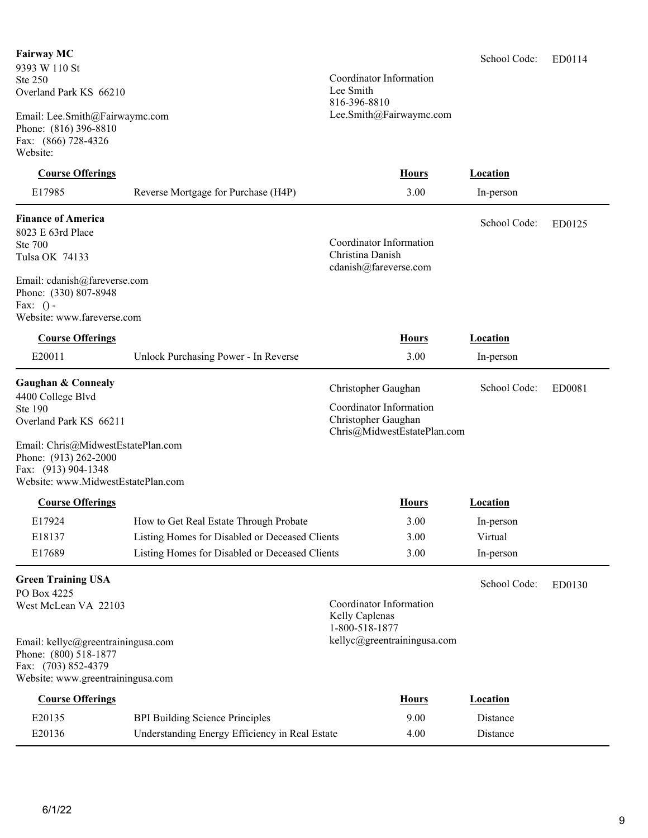### **Fairway MC**

9393 W 110 St Ste 250 Overland Park KS 66210

Email: Lee.Smith@Fairwaymc.com Phone: (816) 396-8810 Fax: (866) 728-4326 Website:

### **Course Offerings Location**

E17985 Reverse Mortgage for Purchase (H4P) 3.00 In-person

### **Finance of America**

8023 E 63rd Place Ste 700 Tulsa OK 74133

Email: cdanish@fareverse.com Phone: (330) 807-8948 Fax:  $()$  -Website: www.fareverse.com

### **Course Offerings Hours Location**

| COMOC OTICINIZI                                                                                                              |                                      | TIAMI 2                                                                                              | посаион      |        |
|------------------------------------------------------------------------------------------------------------------------------|--------------------------------------|------------------------------------------------------------------------------------------------------|--------------|--------|
| E20011                                                                                                                       | Unlock Purchasing Power - In Reverse | 3.00                                                                                                 | In-person    |        |
| Gaughan & Connealy<br>4400 College Blvd<br>Ste 190<br>Overland Park KS 66211<br>Phone: (913) 262-2000<br>Fax: (913) 904-1348 | Email: Chris@MidwestEstatePlan.com   | Christopher Gaughan<br>Coordinator Information<br>Christopher Gaughan<br>Chris@MidwestEstatePlan.com | School Code: | ED0081 |
|                                                                                                                              | Website: www.MidwestEstatePlan.com   |                                                                                                      |              |        |

### **Course Offerings** *Location* **<b>Hours** *Location*

| E17924 | How to Get Real Estate Through Probate         | 3.00 | In-person |
|--------|------------------------------------------------|------|-----------|
| E18137 | Listing Homes for Disabled or Deceased Clients | 3.00 | Virtual   |
| E17689 | Listing Homes for Disabled or Deceased Clients | 3.00 | In-person |

### **Green Training USA**

PO Box 4225 West McLean VA 22103

Coordinator Information Kelly Caplenas 1-800-518-1877

kellyc@greentrainingusa.com

Coordinator Information

Coordinator Information Christina Danish cdanish@fareverse.com

Lee.Smith@Fairwaymc.com

Lee Smith 816-396-8810

Email: kellyc@greentrainingusa.com Phone: (800) 518-1877 Fax: (703) 852-4379 Website: www.greentrainingusa.com

| <b>Course Offerings</b> |                                                | <b>Hours</b> | Location |  |
|-------------------------|------------------------------------------------|--------------|----------|--|
| E20135                  | <b>BPI Building Science Principles</b>         | 9.00         | Distance |  |
| E20136                  | Understanding Energy Efficiency in Real Estate | 4.00         | Distance |  |

ED0114 School Code:

School Code:

ED0125

ED0130

School Code: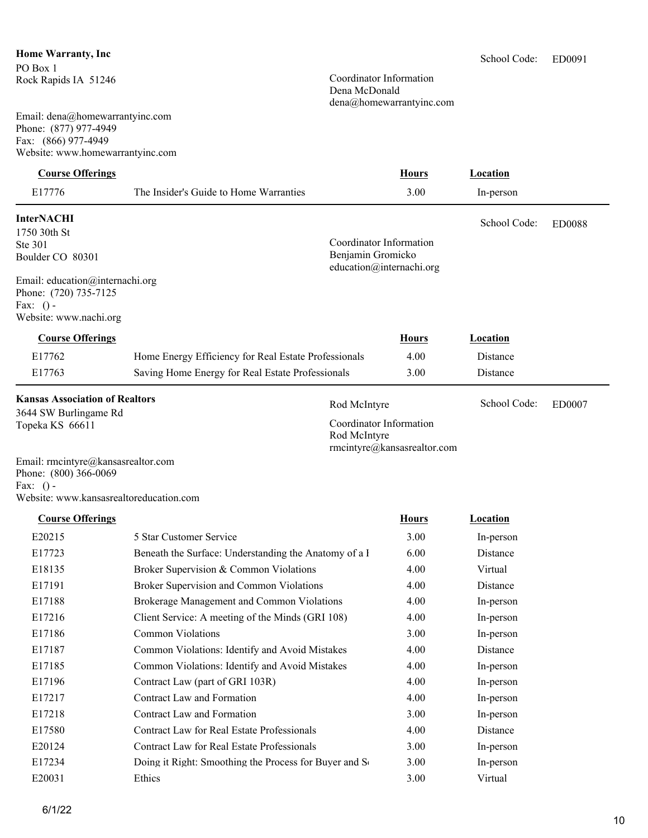### **Home Warranty, Inc** PO Box 1

Rock Rapids IA 51246

Email: dena@homewarrantyinc.com Phone: (877) 977-4949 Fax: (866) 977-4949 Website: www.homewarrantyinc.com

## **Course Offerings Location**

| E17776                          | The Insider's Guide to Home Warranties               |                                               | 3.00         | In-person       |        |
|---------------------------------|------------------------------------------------------|-----------------------------------------------|--------------|-----------------|--------|
| <b>InterNACHI</b>               |                                                      |                                               |              | School Code:    | ED0088 |
| 1750 30th St                    |                                                      |                                               |              |                 |        |
| Ste 301                         |                                                      | Coordinator Information                       |              |                 |        |
| Boulder CO 80301                |                                                      | Benjamin Gromicko<br>education@internachi.org |              |                 |        |
| Email: education@internachi.org |                                                      |                                               |              |                 |        |
| Phone: (720) 735-7125           |                                                      |                                               |              |                 |        |
| Fax: $()$ -                     |                                                      |                                               |              |                 |        |
| Website: www.nachi.org          |                                                      |                                               |              |                 |        |
| <b>Course Offerings</b>         |                                                      |                                               | <b>Hours</b> | Location        |        |
| E17762                          | Home Energy Efficiency for Real Estate Professionals |                                               | 4.00         | Distance        |        |
| E17763                          | Saving Home Energy for Real Estate Professionals     |                                               | 3.00         | <b>Distance</b> |        |

### **Kansas Association of Realtors**

3644 SW Burlingame Rd Topeka KS 66611

Rod McIntyre School Code: ED0007 Coordinator Information Rod McIntyre rmcintyre@kansasrealtor.com

Email: rmcintyre@kansasrealtor.com Phone: (800) 366-0069 Fax: () -

Website: www.kansasrealtoreducation.com

### **Course Offerings Location**

| E20215             | 5 Star Customer Service                               | 3.00 | In-person |
|--------------------|-------------------------------------------------------|------|-----------|
| E17723             | Beneath the Surface: Understanding the Anatomy of a l | 6.00 | Distance  |
| E18135             | Broker Supervision & Common Violations                | 4.00 | Virtual   |
| E17191             | Broker Supervision and Common Violations              | 4.00 | Distance  |
| E17188             | Brokerage Management and Common Violations            | 4.00 | In-person |
| E17216             | Client Service: A meeting of the Minds (GRI 108)      | 4.00 | In-person |
| E17186             | <b>Common Violations</b>                              | 3.00 | In-person |
| E17187             | Common Violations: Identify and Avoid Mistakes        | 4.00 | Distance  |
| E <sub>17185</sub> | Common Violations: Identify and Avoid Mistakes        | 4.00 | In-person |
| E17196             | Contract Law (part of GRI 103R)                       | 4.00 | In-person |
| E17217             | Contract Law and Formation                            | 4.00 | In-person |
| E17218             | Contract Law and Formation                            | 3.00 | In-person |
| E17580             | Contract Law for Real Estate Professionals            | 4.00 | Distance  |
| E20124             | Contract Law for Real Estate Professionals            | 3.00 | In-person |
| E17234             | Doing it Right: Smoothing the Process for Buyer and S | 3.00 | In-person |
| E20031             | Ethics                                                | 3.00 | Virtual   |

School Code:

### Coordinator Information Dena McDonald dena@homewarrantyinc.com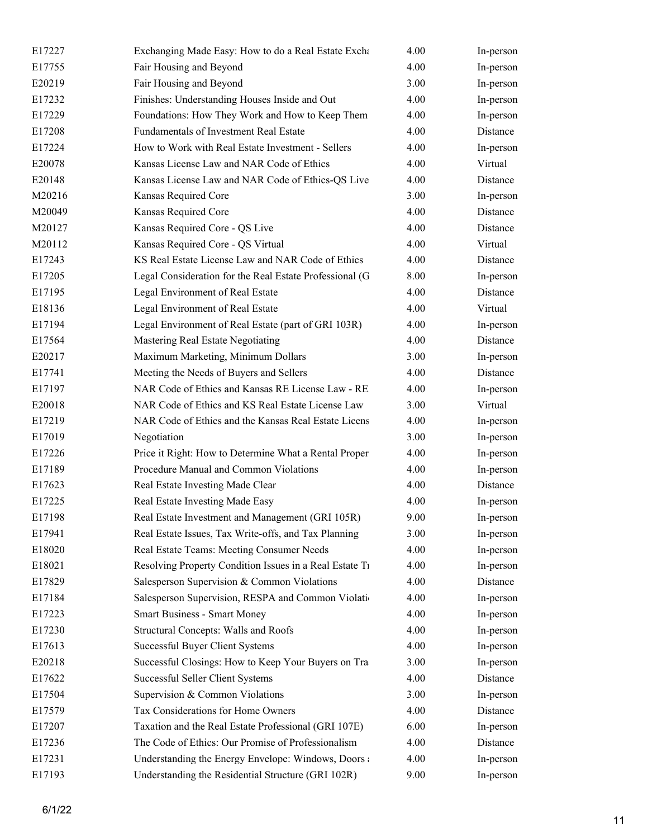| E17227 | Exchanging Made Easy: How to do a Real Estate Exchanging Made Easy: How to do a Real Estate Exchangi | 4.00 | In-person |
|--------|------------------------------------------------------------------------------------------------------|------|-----------|
| E17755 | Fair Housing and Beyond                                                                              | 4.00 | In-person |
| E20219 | Fair Housing and Beyond                                                                              | 3.00 | In-person |
| E17232 | Finishes: Understanding Houses Inside and Out                                                        | 4.00 | In-person |
| E17229 | Foundations: How They Work and How to Keep Them                                                      | 4.00 | In-person |
| E17208 | Fundamentals of Investment Real Estate                                                               | 4.00 | Distance  |
| E17224 | How to Work with Real Estate Investment - Sellers                                                    | 4.00 | In-person |
| E20078 | Kansas License Law and NAR Code of Ethics                                                            | 4.00 | Virtual   |
| E20148 | Kansas License Law and NAR Code of Ethics-QS Live                                                    | 4.00 | Distance  |
| M20216 | Kansas Required Core                                                                                 | 3.00 | In-person |
| M20049 | Kansas Required Core                                                                                 | 4.00 | Distance  |
| M20127 | Kansas Required Core - QS Live                                                                       | 4.00 | Distance  |
| M20112 | Kansas Required Core - QS Virtual                                                                    | 4.00 | Virtual   |
| E17243 | KS Real Estate License Law and NAR Code of Ethics                                                    | 4.00 | Distance  |
| E17205 | Legal Consideration for the Real Estate Professional (G                                              | 8.00 | In-person |
| E17195 | Legal Environment of Real Estate                                                                     | 4.00 | Distance  |
| E18136 | Legal Environment of Real Estate                                                                     | 4.00 | Virtual   |
| E17194 | Legal Environment of Real Estate (part of GRI 103R)                                                  | 4.00 | In-person |
| E17564 | Mastering Real Estate Negotiating                                                                    | 4.00 | Distance  |
| E20217 | Maximum Marketing, Minimum Dollars                                                                   | 3.00 | In-person |
| E17741 | Meeting the Needs of Buyers and Sellers                                                              | 4.00 | Distance  |
| E17197 | NAR Code of Ethics and Kansas RE License Law - RE                                                    | 4.00 | In-person |
| E20018 | NAR Code of Ethics and KS Real Estate License Law                                                    | 3.00 | Virtual   |
| E17219 | NAR Code of Ethics and the Kansas Real Estate Licens                                                 | 4.00 | In-person |
| E17019 | Negotiation                                                                                          | 3.00 | In-person |
| E17226 | Price it Right: How to Determine What a Rental Proper                                                | 4.00 | In-person |
| E17189 | Procedure Manual and Common Violations                                                               | 4.00 | In-person |
| E17623 | Real Estate Investing Made Clear                                                                     | 4.00 | Distance  |
| E17225 | Real Estate Investing Made Easy                                                                      | 4.00 | In-person |
| E17198 | Real Estate Investment and Management (GRI 105R)                                                     | 9.00 | In-person |
| E17941 | Real Estate Issues, Tax Write-offs, and Tax Planning                                                 | 3.00 | In-person |
| E18020 | Real Estate Teams: Meeting Consumer Needs                                                            | 4.00 | In-person |
| E18021 | Resolving Property Condition Issues in a Real Estate Ti                                              | 4.00 | In-person |
| E17829 | Salesperson Supervision & Common Violations                                                          | 4.00 | Distance  |
| E17184 | Salesperson Supervision, RESPA and Common Violati                                                    | 4.00 | In-person |
| E17223 | <b>Smart Business - Smart Money</b>                                                                  | 4.00 | In-person |
| E17230 | Structural Concepts: Walls and Roofs                                                                 | 4.00 | In-person |
| E17613 | Successful Buyer Client Systems                                                                      | 4.00 | In-person |
| E20218 | Successful Closings: How to Keep Your Buyers on Tra                                                  | 3.00 | In-person |
| E17622 | Successful Seller Client Systems                                                                     | 4.00 | Distance  |
| E17504 | Supervision & Common Violations                                                                      | 3.00 | In-person |
| E17579 | Tax Considerations for Home Owners                                                                   | 4.00 | Distance  |
| E17207 | Taxation and the Real Estate Professional (GRI 107E)                                                 | 6.00 | In-person |
| E17236 | The Code of Ethics: Our Promise of Professionalism                                                   | 4.00 | Distance  |
| E17231 | Understanding the Energy Envelope: Windows, Doors                                                    | 4.00 | In-person |
| E17193 | Understanding the Residential Structure (GRI 102R)                                                   | 9.00 | In-person |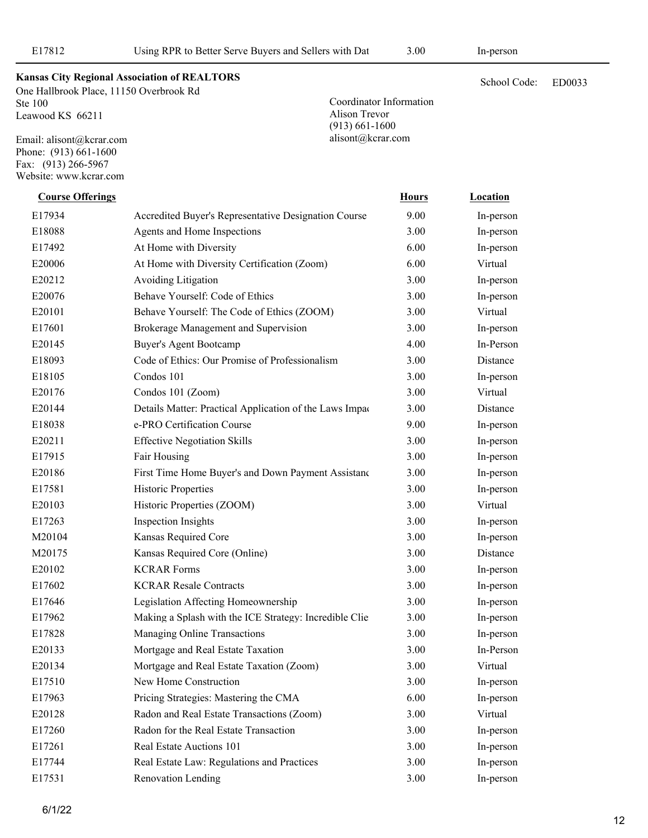Coordinator Information

Alison Trevor (913) 661-1600 alisont@kcrar.com

ED0033

**Kansas City Regional Association of REALTORS** School Code:

One Hallbrook Place, 11150 Overbrook Rd Ste 100 Leawood KS 66211

Email: alisont@kcrar.com Phone: (913) 661-1600 Fax: (913) 266-5967 Website: www.kcrar.com

> E17934 • Accredited Buyer's Representative Designation Course • 9.00 In-person E20144 **Details Matter: Practical Application of the Laws Impaction Real Estate Busic Estate** Bistance E20186 First Time Home Buyer's and Down Payment Assistand 3.00 In-person E17962 Making a Splash with the ICE Strategy: Incredible Clie 3.00 In-person E18088 Agents and Home Inspections 3.00 In-person E17492 At Home with Diversity 6.00 In-person E20006 At Home with Diversity Certification (Zoom) 6.00 Virtual E20212 Avoiding Litigation 3.00 In-person E20076 Behave Yourself: Code of Ethics 3.00 In-person E20101 Behave Yourself: The Code of Ethics (ZOOM) 3.00 Virtual E17601 Brokerage Management and Supervision 3.00 In-person E20145 Buyer's Agent Bootcamp 4.00 In-Person E18093 Code of Ethics: Our Promise of Professionalism 3.00 Distance E18105 Condos 101 3.00 In-person E20176 Condos 101 (Zoom) 3.00 Virtual E18038 e-PRO Certification Course 9.00 In-person E20211 Effective Negotiation Skills 3.00 In-person E17915 Fair Housing 3.00 In-person E17581 Historic Properties 3.00 In-person E20103 Historic Properties (ZOOM) 3.00 Virtual E17263 Inspection Insights 3.00 In-person M20104 Kansas Required Core 3.00 In-person M20175 Kansas Required Core (Online) 3.00 Distance E20102 KCRAR Forms 3.00 In-person E17602 KCRAR Resale Contracts 3.00 In-person E17646 Legislation Affecting Homeownership 3.00 In-person E17828 Managing Online Transactions 3.00 In-person E20133 Mortgage and Real Estate Taxation 3.00 In-Person E20134 Mortgage and Real Estate Taxation (Zoom) 3.00 Virtual E17510 New Home Construction 3.00 In-person E17963 Pricing Strategies: Mastering the CMA 6.00 In-person E20128 Radon and Real Estate Transactions (Zoom) 3.00 Virtual E17260 Radon for the Real Estate Transaction 3.00 In-person E17261 Real Estate Auctions 101 3.00 In-person **Course Offerings Course Offerings** *Location* **<b>Hours** *Location*

> E17744 Real Estate Law: Regulations and Practices 3.00 In-person E17531 Renovation Lending 3.00 In-person

12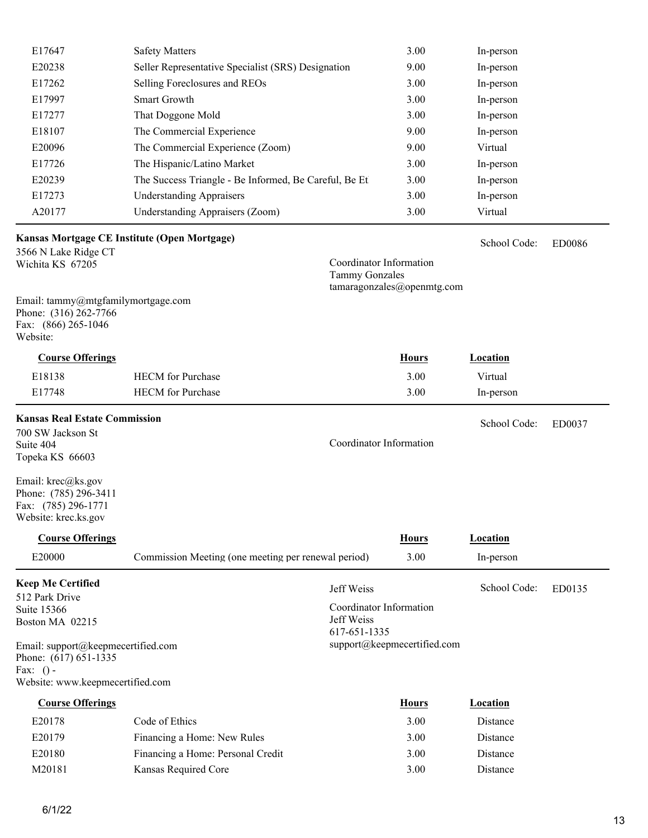| E17647                                                                                         | <b>Safety Matters</b>                                 | 3.00                                             | In-person       |               |
|------------------------------------------------------------------------------------------------|-------------------------------------------------------|--------------------------------------------------|-----------------|---------------|
| E20238                                                                                         | Seller Representative Specialist (SRS) Designation    | 9.00                                             | In-person       |               |
| E17262                                                                                         | Selling Foreclosures and REOs                         | 3.00                                             | In-person       |               |
| E17997                                                                                         | Smart Growth                                          | 3.00                                             | In-person       |               |
| E17277                                                                                         | That Doggone Mold                                     | 3.00                                             | In-person       |               |
| E18107                                                                                         | The Commercial Experience                             | 9.00                                             | In-person       |               |
| E20096                                                                                         | The Commercial Experience (Zoom)                      | 9.00                                             | Virtual         |               |
| E17726                                                                                         | The Hispanic/Latino Market                            | 3.00                                             | In-person       |               |
| E20239                                                                                         | The Success Triangle - Be Informed, Be Careful, Be Et | 3.00                                             | In-person       |               |
| E17273                                                                                         | <b>Understanding Appraisers</b>                       | 3.00                                             | In-person       |               |
| A20177                                                                                         | <b>Understanding Appraisers (Zoom)</b>                | 3.00                                             | Virtual         |               |
|                                                                                                | Kansas Mortgage CE Institute (Open Mortgage)          |                                                  | School Code:    |               |
| 3566 N Lake Ridge CT                                                                           |                                                       |                                                  |                 | <b>ED0086</b> |
| Wichita KS 67205                                                                               |                                                       | Coordinator Information<br><b>Tammy Gonzales</b> |                 |               |
|                                                                                                |                                                       | tamaragonzales@openmtg.com                       |                 |               |
| Email: tammy@mtgfamilymortgage.com<br>Phone: (316) 262-7766<br>Fax: (866) 265-1046<br>Website: |                                                       |                                                  |                 |               |
| <b>Course Offerings</b>                                                                        |                                                       | <b>Hours</b>                                     | Location        |               |
| E18138                                                                                         | <b>HECM</b> for Purchase                              | 3.00                                             | Virtual         |               |
| E17748                                                                                         | <b>HECM</b> for Purchase                              | 3.00                                             | In-person       |               |
| <b>Kansas Real Estate Commission</b>                                                           |                                                       |                                                  |                 |               |
| 700 SW Jackson St                                                                              |                                                       |                                                  | School Code:    | ED0037        |
| Suite 404                                                                                      |                                                       | Coordinator Information                          |                 |               |
| Topeka KS 66603                                                                                |                                                       |                                                  |                 |               |
| Email: krec@ks.gov<br>Phone: (785) 296-3411<br>Fax: (785) 296-1771<br>Website: krec.ks.gov     |                                                       |                                                  |                 |               |
| <b>Course Offerings</b>                                                                        |                                                       | <b>Hours</b>                                     | <b>Location</b> |               |
| E20000                                                                                         | Commission Meeting (one meeting per renewal period)   | 3.00                                             | In-person       |               |
| <b>Keep Me Certified</b>                                                                       |                                                       |                                                  |                 |               |
| 512 Park Drive                                                                                 |                                                       | Jeff Weiss                                       | School Code:    | ED0135        |
| <b>Suite 15366</b>                                                                             |                                                       | Coordinator Information                          |                 |               |
| Boston MA 02215                                                                                |                                                       | Jeff Weiss<br>617-651-1335                       |                 |               |
| Email: support@keepmecertified.com<br>Phone: (617) 651-1335<br>Fax: $()$ -                     |                                                       | support@keepmecertified.com                      |                 |               |
| Website: www.keepmecertified.com                                                               |                                                       |                                                  |                 |               |
| <b>Course Offerings</b>                                                                        |                                                       | <b>Hours</b>                                     | <b>Location</b> |               |
| E20178                                                                                         | Code of Ethics                                        | 3.00                                             | Distance        |               |
| E20179                                                                                         | Financing a Home: New Rules                           | 3.00                                             | Distance        |               |
| E20180                                                                                         | Financing a Home: Personal Credit                     | 3.00                                             | Distance        |               |

M20181 Kansas Required Core 3.00 Distance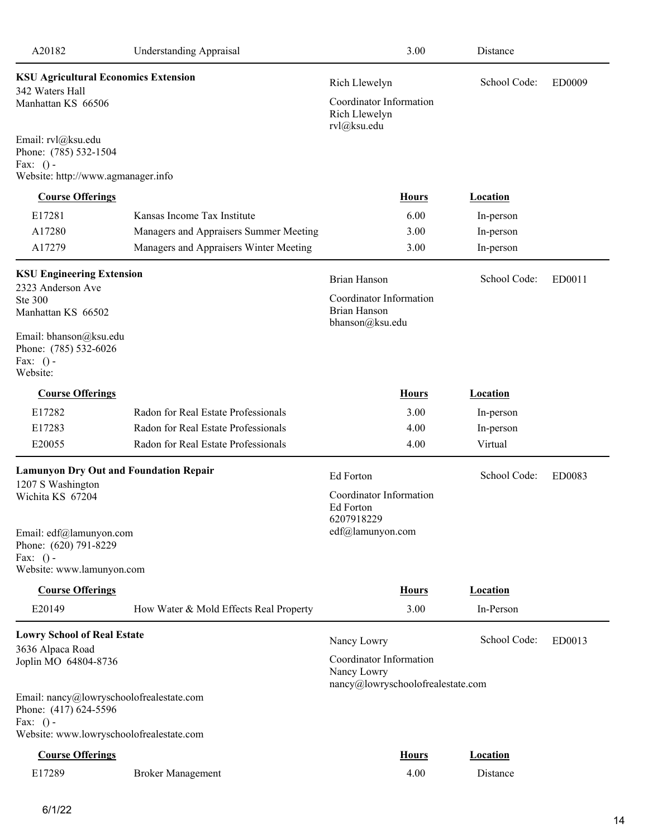| <b>KSU Agricultural Economics Extension</b><br>School Code:<br>Rich Llewelyn<br><b>ED0009</b><br>342 Waters Hall<br>Coordinator Information<br>Manhattan KS 66506<br>Rich Llewelyn<br>rvl@ksu.edu<br>Email: rvl@ksu.edu<br>Phone: (785) 532-1504<br>Fax: $()$ -<br>Website: http://www.agmanager.info<br><b>Course Offerings</b><br><b>Hours</b><br><b>Location</b><br>E17281<br>Kansas Income Tax Institute<br>6.00<br>In-person<br>A17280<br>3.00<br>Managers and Appraisers Summer Meeting<br>In-person<br>A17279<br>Managers and Appraisers Winter Meeting<br>3.00<br>In-person<br><b>KSU Engineering Extension</b><br>School Code:<br><b>Brian Hanson</b><br>ED0011<br>2323 Anderson Ave<br>Coordinator Information<br>Ste 300<br><b>Brian Hanson</b><br>Manhattan KS 66502<br>bhanson@ksu.edu<br>Email: bhanson@ksu.edu<br>Phone: (785) 532-6026<br>Fax: $()$ -<br>Website:<br><b>Course Offerings</b><br><b>Hours</b><br><b>Location</b><br>E17282<br>Radon for Real Estate Professionals<br>3.00<br>In-person<br>E17283<br>Radon for Real Estate Professionals<br>4.00<br>In-person<br>E20055<br>Radon for Real Estate Professionals<br>4.00<br>Virtual<br><b>Lamunyon Dry Out and Foundation Repair</b><br>School Code:<br>Ed Forton<br>ED0083<br>1207 S Washington<br>Coordinator Information<br>Wichita KS 67204<br>Ed Forton<br>6207918229<br>edf@lamunyon.com<br>Email: edf@lamunyon.com<br>Phone: (620) 791-8229<br>Fax: $()$ -<br>Website: www.lamunyon.com<br><b>Course Offerings</b><br><b>Hours</b><br><b>Location</b><br>E20149<br>3.00<br>How Water & Mold Effects Real Property<br>In-Person<br><b>Lowry School of Real Estate</b><br>School Code:<br>ED0013<br>Nancy Lowry<br>3636 Alpaca Road<br>Coordinator Information<br>Joplin MO 64804-8736<br>Nancy Lowry<br>nancy@lowryschoolofrealestate.com<br>Email: nancy@lowryschoolofrealestate.com<br>Phone: (417) 624-5596<br>Fax: $()$ -<br>Website: www.lowryschoolofrealestate.com<br><b>Course Offerings</b><br><b>Hours</b><br><b>Location</b><br>E17289<br>4.00<br>Distance<br><b>Broker Management</b> | A20182 | <b>Understanding Appraisal</b> | 3.00 | Distance |  |
|-------------------------------------------------------------------------------------------------------------------------------------------------------------------------------------------------------------------------------------------------------------------------------------------------------------------------------------------------------------------------------------------------------------------------------------------------------------------------------------------------------------------------------------------------------------------------------------------------------------------------------------------------------------------------------------------------------------------------------------------------------------------------------------------------------------------------------------------------------------------------------------------------------------------------------------------------------------------------------------------------------------------------------------------------------------------------------------------------------------------------------------------------------------------------------------------------------------------------------------------------------------------------------------------------------------------------------------------------------------------------------------------------------------------------------------------------------------------------------------------------------------------------------------------------------------------------------------------------------------------------------------------------------------------------------------------------------------------------------------------------------------------------------------------------------------------------------------------------------------------------------------------------------------------------------------------------------------------------------------------------------------------------------------------------------------------------------------|--------|--------------------------------|------|----------|--|
|                                                                                                                                                                                                                                                                                                                                                                                                                                                                                                                                                                                                                                                                                                                                                                                                                                                                                                                                                                                                                                                                                                                                                                                                                                                                                                                                                                                                                                                                                                                                                                                                                                                                                                                                                                                                                                                                                                                                                                                                                                                                                     |        |                                |      |          |  |
|                                                                                                                                                                                                                                                                                                                                                                                                                                                                                                                                                                                                                                                                                                                                                                                                                                                                                                                                                                                                                                                                                                                                                                                                                                                                                                                                                                                                                                                                                                                                                                                                                                                                                                                                                                                                                                                                                                                                                                                                                                                                                     |        |                                |      |          |  |
|                                                                                                                                                                                                                                                                                                                                                                                                                                                                                                                                                                                                                                                                                                                                                                                                                                                                                                                                                                                                                                                                                                                                                                                                                                                                                                                                                                                                                                                                                                                                                                                                                                                                                                                                                                                                                                                                                                                                                                                                                                                                                     |        |                                |      |          |  |
|                                                                                                                                                                                                                                                                                                                                                                                                                                                                                                                                                                                                                                                                                                                                                                                                                                                                                                                                                                                                                                                                                                                                                                                                                                                                                                                                                                                                                                                                                                                                                                                                                                                                                                                                                                                                                                                                                                                                                                                                                                                                                     |        |                                |      |          |  |
|                                                                                                                                                                                                                                                                                                                                                                                                                                                                                                                                                                                                                                                                                                                                                                                                                                                                                                                                                                                                                                                                                                                                                                                                                                                                                                                                                                                                                                                                                                                                                                                                                                                                                                                                                                                                                                                                                                                                                                                                                                                                                     |        |                                |      |          |  |
|                                                                                                                                                                                                                                                                                                                                                                                                                                                                                                                                                                                                                                                                                                                                                                                                                                                                                                                                                                                                                                                                                                                                                                                                                                                                                                                                                                                                                                                                                                                                                                                                                                                                                                                                                                                                                                                                                                                                                                                                                                                                                     |        |                                |      |          |  |
|                                                                                                                                                                                                                                                                                                                                                                                                                                                                                                                                                                                                                                                                                                                                                                                                                                                                                                                                                                                                                                                                                                                                                                                                                                                                                                                                                                                                                                                                                                                                                                                                                                                                                                                                                                                                                                                                                                                                                                                                                                                                                     |        |                                |      |          |  |
|                                                                                                                                                                                                                                                                                                                                                                                                                                                                                                                                                                                                                                                                                                                                                                                                                                                                                                                                                                                                                                                                                                                                                                                                                                                                                                                                                                                                                                                                                                                                                                                                                                                                                                                                                                                                                                                                                                                                                                                                                                                                                     |        |                                |      |          |  |
|                                                                                                                                                                                                                                                                                                                                                                                                                                                                                                                                                                                                                                                                                                                                                                                                                                                                                                                                                                                                                                                                                                                                                                                                                                                                                                                                                                                                                                                                                                                                                                                                                                                                                                                                                                                                                                                                                                                                                                                                                                                                                     |        |                                |      |          |  |
|                                                                                                                                                                                                                                                                                                                                                                                                                                                                                                                                                                                                                                                                                                                                                                                                                                                                                                                                                                                                                                                                                                                                                                                                                                                                                                                                                                                                                                                                                                                                                                                                                                                                                                                                                                                                                                                                                                                                                                                                                                                                                     |        |                                |      |          |  |
|                                                                                                                                                                                                                                                                                                                                                                                                                                                                                                                                                                                                                                                                                                                                                                                                                                                                                                                                                                                                                                                                                                                                                                                                                                                                                                                                                                                                                                                                                                                                                                                                                                                                                                                                                                                                                                                                                                                                                                                                                                                                                     |        |                                |      |          |  |
|                                                                                                                                                                                                                                                                                                                                                                                                                                                                                                                                                                                                                                                                                                                                                                                                                                                                                                                                                                                                                                                                                                                                                                                                                                                                                                                                                                                                                                                                                                                                                                                                                                                                                                                                                                                                                                                                                                                                                                                                                                                                                     |        |                                |      |          |  |
|                                                                                                                                                                                                                                                                                                                                                                                                                                                                                                                                                                                                                                                                                                                                                                                                                                                                                                                                                                                                                                                                                                                                                                                                                                                                                                                                                                                                                                                                                                                                                                                                                                                                                                                                                                                                                                                                                                                                                                                                                                                                                     |        |                                |      |          |  |
|                                                                                                                                                                                                                                                                                                                                                                                                                                                                                                                                                                                                                                                                                                                                                                                                                                                                                                                                                                                                                                                                                                                                                                                                                                                                                                                                                                                                                                                                                                                                                                                                                                                                                                                                                                                                                                                                                                                                                                                                                                                                                     |        |                                |      |          |  |
|                                                                                                                                                                                                                                                                                                                                                                                                                                                                                                                                                                                                                                                                                                                                                                                                                                                                                                                                                                                                                                                                                                                                                                                                                                                                                                                                                                                                                                                                                                                                                                                                                                                                                                                                                                                                                                                                                                                                                                                                                                                                                     |        |                                |      |          |  |
|                                                                                                                                                                                                                                                                                                                                                                                                                                                                                                                                                                                                                                                                                                                                                                                                                                                                                                                                                                                                                                                                                                                                                                                                                                                                                                                                                                                                                                                                                                                                                                                                                                                                                                                                                                                                                                                                                                                                                                                                                                                                                     |        |                                |      |          |  |
|                                                                                                                                                                                                                                                                                                                                                                                                                                                                                                                                                                                                                                                                                                                                                                                                                                                                                                                                                                                                                                                                                                                                                                                                                                                                                                                                                                                                                                                                                                                                                                                                                                                                                                                                                                                                                                                                                                                                                                                                                                                                                     |        |                                |      |          |  |
|                                                                                                                                                                                                                                                                                                                                                                                                                                                                                                                                                                                                                                                                                                                                                                                                                                                                                                                                                                                                                                                                                                                                                                                                                                                                                                                                                                                                                                                                                                                                                                                                                                                                                                                                                                                                                                                                                                                                                                                                                                                                                     |        |                                |      |          |  |
|                                                                                                                                                                                                                                                                                                                                                                                                                                                                                                                                                                                                                                                                                                                                                                                                                                                                                                                                                                                                                                                                                                                                                                                                                                                                                                                                                                                                                                                                                                                                                                                                                                                                                                                                                                                                                                                                                                                                                                                                                                                                                     |        |                                |      |          |  |
|                                                                                                                                                                                                                                                                                                                                                                                                                                                                                                                                                                                                                                                                                                                                                                                                                                                                                                                                                                                                                                                                                                                                                                                                                                                                                                                                                                                                                                                                                                                                                                                                                                                                                                                                                                                                                                                                                                                                                                                                                                                                                     |        |                                |      |          |  |
|                                                                                                                                                                                                                                                                                                                                                                                                                                                                                                                                                                                                                                                                                                                                                                                                                                                                                                                                                                                                                                                                                                                                                                                                                                                                                                                                                                                                                                                                                                                                                                                                                                                                                                                                                                                                                                                                                                                                                                                                                                                                                     |        |                                |      |          |  |
|                                                                                                                                                                                                                                                                                                                                                                                                                                                                                                                                                                                                                                                                                                                                                                                                                                                                                                                                                                                                                                                                                                                                                                                                                                                                                                                                                                                                                                                                                                                                                                                                                                                                                                                                                                                                                                                                                                                                                                                                                                                                                     |        |                                |      |          |  |
|                                                                                                                                                                                                                                                                                                                                                                                                                                                                                                                                                                                                                                                                                                                                                                                                                                                                                                                                                                                                                                                                                                                                                                                                                                                                                                                                                                                                                                                                                                                                                                                                                                                                                                                                                                                                                                                                                                                                                                                                                                                                                     |        |                                |      |          |  |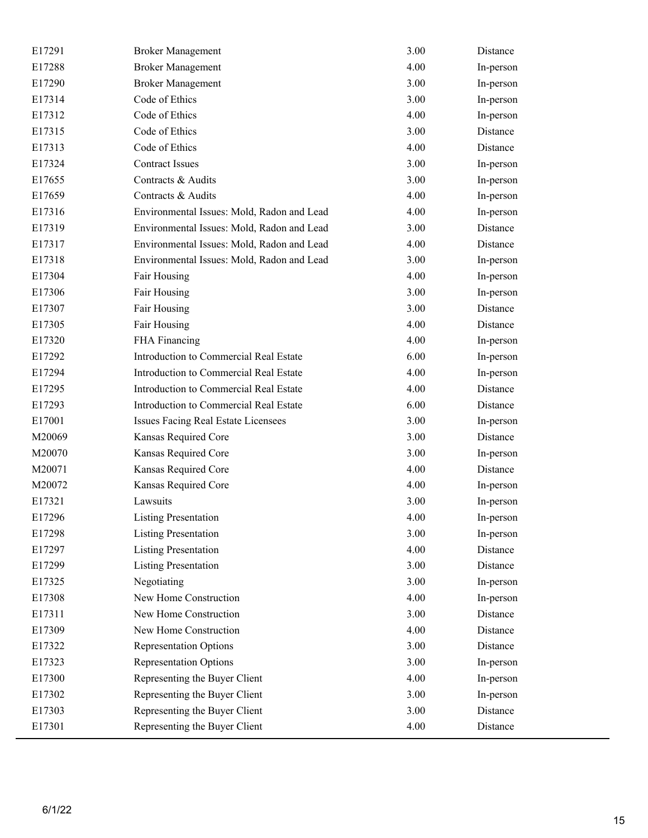| E17291 | <b>Broker Management</b>                   | 3.00 | Distance  |
|--------|--------------------------------------------|------|-----------|
| E17288 | <b>Broker Management</b>                   | 4.00 | In-person |
| E17290 | <b>Broker Management</b>                   | 3.00 | In-person |
| E17314 | Code of Ethics                             | 3.00 | In-person |
| E17312 | Code of Ethics                             | 4.00 | In-person |
| E17315 | Code of Ethics                             | 3.00 | Distance  |
| E17313 | Code of Ethics                             | 4.00 | Distance  |
| E17324 | <b>Contract Issues</b>                     | 3.00 | In-person |
| E17655 | Contracts & Audits                         | 3.00 | In-person |
| E17659 | Contracts & Audits                         | 4.00 | In-person |
| E17316 | Environmental Issues: Mold, Radon and Lead | 4.00 | In-person |
| E17319 | Environmental Issues: Mold, Radon and Lead | 3.00 | Distance  |
| E17317 | Environmental Issues: Mold, Radon and Lead | 4.00 | Distance  |
| E17318 | Environmental Issues: Mold, Radon and Lead | 3.00 | In-person |
| E17304 | Fair Housing                               | 4.00 | In-person |
| E17306 | Fair Housing                               | 3.00 | In-person |
| E17307 | Fair Housing                               | 3.00 | Distance  |
| E17305 | Fair Housing                               | 4.00 | Distance  |
| E17320 | FHA Financing                              | 4.00 | In-person |
| E17292 | Introduction to Commercial Real Estate     | 6.00 | In-person |
| E17294 | Introduction to Commercial Real Estate     | 4.00 | In-person |
| E17295 | Introduction to Commercial Real Estate     | 4.00 | Distance  |
| E17293 | Introduction to Commercial Real Estate     | 6.00 | Distance  |
| E17001 | Issues Facing Real Estate Licensees        | 3.00 | In-person |
| M20069 | Kansas Required Core                       | 3.00 | Distance  |
| M20070 | Kansas Required Core                       | 3.00 | In-person |
| M20071 | Kansas Required Core                       | 4.00 | Distance  |
| M20072 | Kansas Required Core                       | 4.00 | In-person |
| E17321 | Lawsuits                                   | 3.00 | In-person |
| E17296 | <b>Listing Presentation</b>                | 4.00 | In-person |
| E17298 | <b>Listing Presentation</b>                | 3.00 | In-person |
| E17297 | <b>Listing Presentation</b>                | 4.00 | Distance  |
| E17299 | <b>Listing Presentation</b>                | 3.00 | Distance  |
| E17325 | Negotiating                                | 3.00 | In-person |
| E17308 | New Home Construction                      | 4.00 | In-person |
| E17311 | New Home Construction                      | 3.00 | Distance  |
| E17309 | New Home Construction                      | 4.00 | Distance  |
| E17322 | <b>Representation Options</b>              | 3.00 | Distance  |
| E17323 | <b>Representation Options</b>              | 3.00 | In-person |
| E17300 | Representing the Buyer Client              | 4.00 | In-person |
| E17302 | Representing the Buyer Client              | 3.00 | In-person |
| E17303 | Representing the Buyer Client              | 3.00 | Distance  |
| E17301 | Representing the Buyer Client              | 4.00 | Distance  |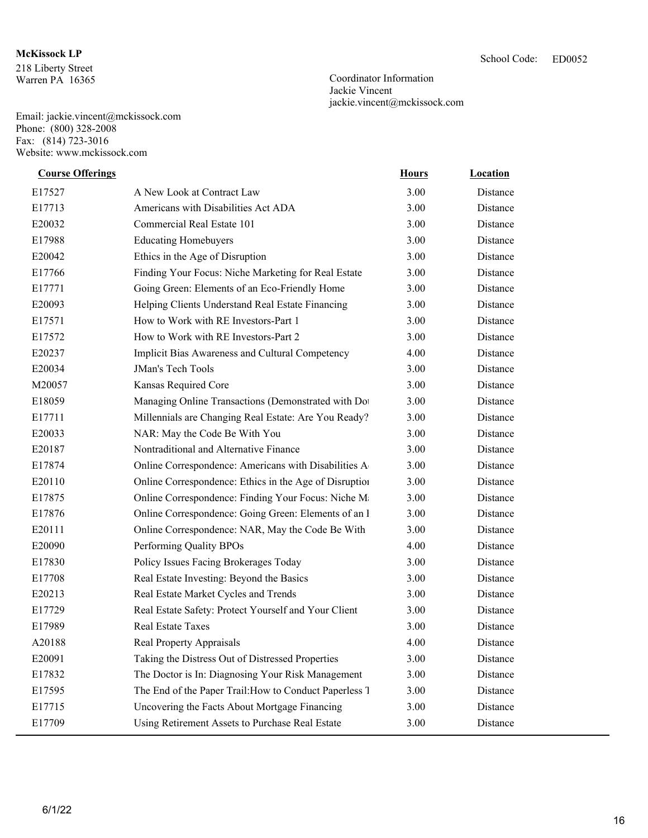## **McKissock LP** School Code:

218 Liberty Street Warren PA 16365

Email: jackie.vincent@mckissock.com Phone: (800) 328-2008 Fax: (814) 723-3016 Website: www.mckissock.com

ED0052

Coordinator Information Jackie Vincent jackie.vincent@mckissock.com

| <b>Course Offerings</b> |                                                        | <b>Hours</b> | <b>Location</b> |
|-------------------------|--------------------------------------------------------|--------------|-----------------|
| E17527                  | A New Look at Contract Law                             | 3.00         | Distance        |
| E17713                  | Americans with Disabilities Act ADA                    | 3.00         | Distance        |
| E20032                  | Commercial Real Estate 101                             | 3.00         | Distance        |
| E17988                  | <b>Educating Homebuyers</b>                            | 3.00         | Distance        |
| E20042                  | Ethics in the Age of Disruption                        | 3.00         | Distance        |
| E17766                  | Finding Your Focus: Niche Marketing for Real Estate    | 3.00         | Distance        |
| E17771                  | Going Green: Elements of an Eco-Friendly Home          | 3.00         | Distance        |
| E20093                  | Helping Clients Understand Real Estate Financing       | 3.00         | Distance        |
| E17571                  | How to Work with RE Investors-Part 1                   | 3.00         | Distance        |
| E17572                  | How to Work with RE Investors-Part 2                   | 3.00         | Distance        |
| E20237                  | Implicit Bias Awareness and Cultural Competency        | 4.00         | Distance        |
| E20034                  | JMan's Tech Tools                                      | 3.00         | Distance        |
| M20057                  | Kansas Required Core                                   | 3.00         | Distance        |
| E18059                  | Managing Online Transactions (Demonstrated with Do     | 3.00         | Distance        |
| E17711                  | Millennials are Changing Real Estate: Are You Ready?   | 3.00         | Distance        |
| E20033                  | NAR: May the Code Be With You                          | 3.00         | Distance        |
| E20187                  | Nontraditional and Alternative Finance                 | 3.00         | Distance        |
| E17874                  | Online Correspondence: Americans with Disabilities A   | 3.00         | Distance        |
| E20110                  | Online Correspondence: Ethics in the Age of Disruption | 3.00         | Distance        |
| E17875                  | Online Correspondence: Finding Your Focus: Niche M     | 3.00         | Distance        |
| E17876                  | Online Correspondence: Going Green: Elements of an l   | 3.00         | Distance        |
| E20111                  | Online Correspondence: NAR, May the Code Be With       | 3.00         | Distance        |
| E20090                  | Performing Quality BPOs                                | 4.00         | Distance        |
| E17830                  | Policy Issues Facing Brokerages Today                  | 3.00         | Distance        |
| E17708                  | Real Estate Investing: Beyond the Basics               | 3.00         | Distance        |
| E20213                  | Real Estate Market Cycles and Trends                   | 3.00         | Distance        |
| E17729                  | Real Estate Safety: Protect Yourself and Your Client   | 3.00         | Distance        |
| E17989                  | Real Estate Taxes                                      | 3.00         | Distance        |
| A20188                  | Real Property Appraisals                               | 4.00         | Distance        |
| E20091                  | Taking the Distress Out of Distressed Properties       | 3.00         | Distance        |
| E17832                  | The Doctor is In: Diagnosing Your Risk Management      | 3.00         | Distance        |
| E17595                  | The End of the Paper Trail: How to Conduct Paperless 1 | 3.00         | Distance        |
| E17715                  | Uncovering the Facts About Mortgage Financing          | 3.00         | Distance        |
| E17709                  | Using Retirement Assets to Purchase Real Estate        | 3.00         | Distance        |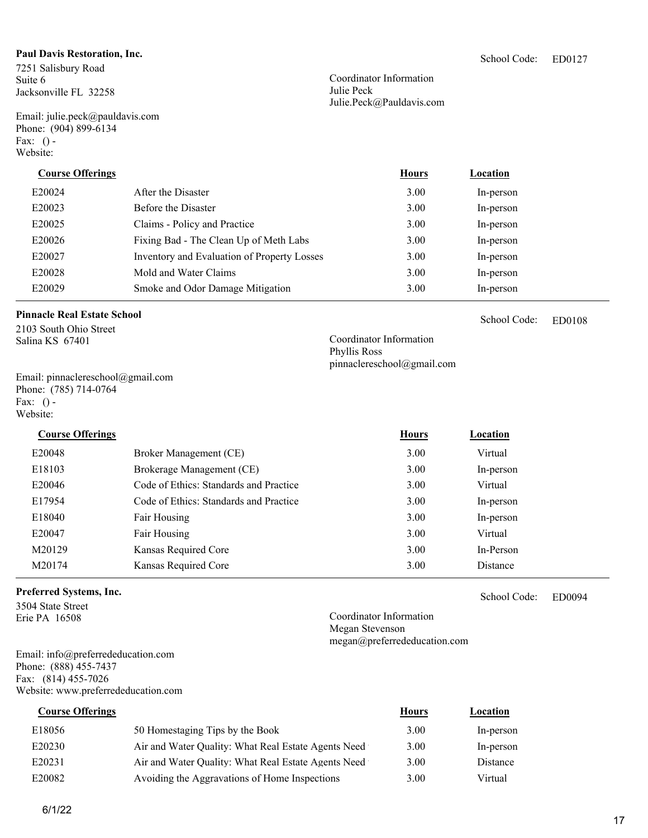### **Paul Davis Restoration, Inc.**

7251 Salisbury Road Suite 6 Jacksonville FL 32258

Email: julie.peck@pauldavis.com Phone: (904) 899-6134 Fax:  $()$  -Website:

Coordinator Information Julie Peck Julie.Peck@Pauldavis.com

| . ( ) –<br>bsite:       |                     |              |           |  |
|-------------------------|---------------------|--------------|-----------|--|
| <b>Course Offerings</b> |                     | <b>Hours</b> | Location  |  |
| E20024                  | After the Disaster  | 3.00         | In-person |  |
| E20023                  | Before the Disaster | 3.00         | In-person |  |

| E20025 | Claims - Policy and Practice                | 3.00 | In-person |
|--------|---------------------------------------------|------|-----------|
| E20026 | Fixing Bad - The Clean Up of Meth Labs      | 3.00 | In-person |
| E20027 | Inventory and Evaluation of Property Losses | 3.00 | In-person |
| E20028 | Mold and Water Claims                       | 3.00 | In-person |

### **Pinnacle Real Estate School**

2103 South Ohio Street Salina KS 67401

Email: pinnaclereschool@gmail.com Phone: (785) 714-0764 Fax:  $()$  -Website:

E20048 Broker Management (CE) 3.00 Virtual E18103 Brokerage Management (CE) 3.00 In-person E20046 Code of Ethics: Standards and Practice 3.00 Virtual E17954 Code of Ethics: Standards and Practice 3.00 In-person E18040 Fair Housing 3.00 In-person E20047 Fair Housing Fair Housing 2.00 Virtual M20129 Kansas Required Core 3.00 In-Person M20174 Kansas Required Core 3.00 Distance **Course Offerings** *Location* **<b>Hours** *Location* 

E20029 Smoke and Odor Damage Mitigation 3.00 In-person

### **Preferred Systems, Inc.**

3504 State Street Erie PA 16508

Email: info@preferrededucation.com Phone: (888) 455-7437 Fax: (814) 455-7026 Website: www.preferrededucation.com

E20230 Air and Water Quality: What Real Estate Agents Need 3.00 In-person E20231 Air and Water Quality: What Real Estate Agents Need 3.00 Distance E18056 50 Homestaging Tips by the Book 3.00 In-person E20082 Avoiding the Aggravations of Home Inspections 3.00 Virtual **Course Offerings** *Location* **<b>Hours** *Location* 

ED0108 School Code:

Coordinator Information Phyllis Ross pinnaclereschool@gmail.com

> ED0094 School Code:

Coordinator Information Megan Stevenson megan@preferrededucation.com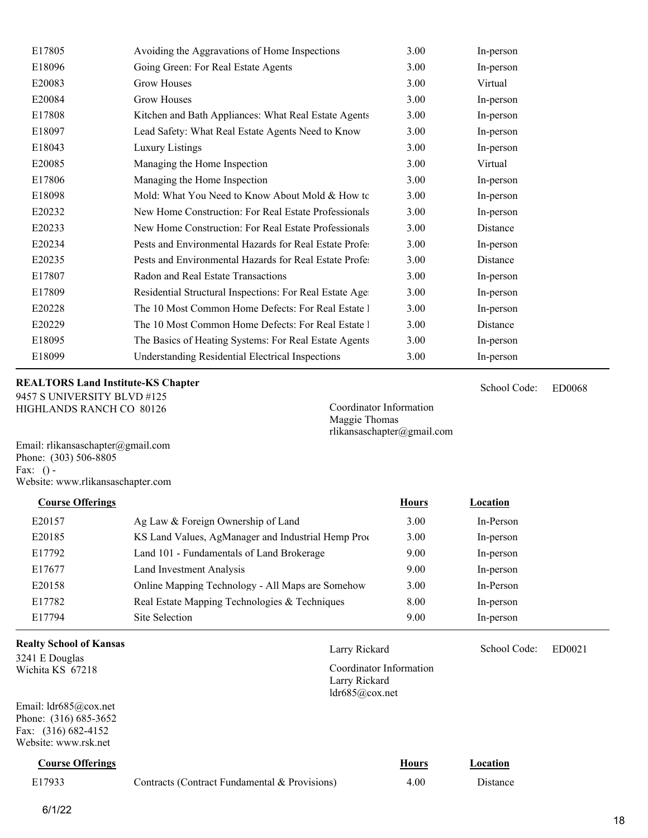| E17805 | Avoiding the Aggravations of Home Inspections           | 3.00 | In-person |
|--------|---------------------------------------------------------|------|-----------|
| E18096 | Going Green: For Real Estate Agents                     | 3.00 | In-person |
| E20083 | <b>Grow Houses</b>                                      | 3.00 | Virtual   |
| E20084 | <b>Grow Houses</b>                                      | 3.00 | In-person |
| E17808 | Kitchen and Bath Appliances: What Real Estate Agents    | 3.00 | In-person |
| E18097 | Lead Safety: What Real Estate Agents Need to Know       | 3.00 | In-person |
| E18043 | Luxury Listings                                         | 3.00 | In-person |
| E20085 | Managing the Home Inspection                            | 3.00 | Virtual   |
| E17806 | Managing the Home Inspection                            | 3.00 | In-person |
| E18098 | Mold: What You Need to Know About Mold & How to         | 3.00 | In-person |
| E20232 | New Home Construction: For Real Estate Professionals    | 3.00 | In-person |
| E20233 | New Home Construction: For Real Estate Professionals    | 3.00 | Distance  |
| E20234 | Pests and Environmental Hazards for Real Estate Profe   | 3.00 | In-person |
| E20235 | Pests and Environmental Hazards for Real Estate Profe   | 3.00 | Distance  |
| E17807 | Radon and Real Estate Transactions                      | 3.00 | In-person |
| E17809 | Residential Structural Inspections: For Real Estate Age | 3.00 | In-person |
| E20228 | The 10 Most Common Home Defects: For Real Estate 1      | 3.00 | In-person |
| E20229 | The 10 Most Common Home Defects: For Real Estate 1      | 3.00 | Distance  |
| E18095 | The Basics of Heating Systems: For Real Estate Agents   | 3.00 | In-person |
| E18099 | <b>Understanding Residential Electrical Inspections</b> | 3.00 | In-person |

### **REALTORS Land Institute-KS Chapter**

9457 S UNIVERSITY BLVD #125 HIGHLANDS RANCH CO 80126

Coordinator Information Maggie Thomas rlikansaschapter@gmail.com

Larry Rickard School Code: ED0021

School Code:

ED0068 School Code:

Coordinator Information

Larry Rickard ldr685@cox.net

Email: rlikansaschapter@gmail.com Phone: (303) 506-8805 Fax:  $()$  -Website: www.rlikansaschapter.com

| <b>Course Offerings</b> |                                                    | <b>Hours</b> | Location  |
|-------------------------|----------------------------------------------------|--------------|-----------|
| E20157                  | Ag Law & Foreign Ownership of Land                 | 3.00         | In-Person |
| E20185                  | KS Land Values, AgManager and Industrial Hemp Prod | 3.00         | In-person |
| E17792                  | Land 101 - Fundamentals of Land Brokerage          | 9.00         | In-person |
| E17677                  | <b>Land Investment Analysis</b>                    | 9.00         | In-person |
| E20158                  | Online Mapping Technology - All Maps are Somehow   | 3.00         | In-Person |
| E17782                  | Real Estate Mapping Technologies & Techniques      | 8.00         | In-person |
| E17794                  | Site Selection                                     | 9.00         | In-person |
|                         |                                                    |              |           |

### **Realty School of Kansas**

3241 E Douglas Wichita KS 67218

Email: ldr685@cox.net Phone: (316) 685-3652 Fax: (316) 682-4152 Website: www.rsk.net

| <b>Course Offerings</b> |                                               | Hours | Location |
|-------------------------|-----------------------------------------------|-------|----------|
| E17933                  | Contracts (Contract Fundamental & Provisions) | 4.00  | Distance |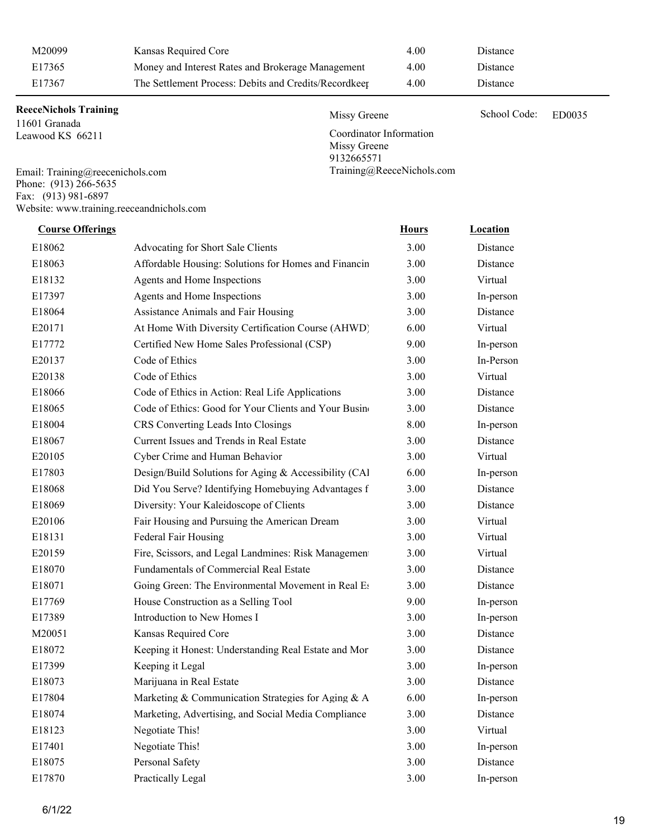| M20099 | Kansas Required Core                                  | 4.00 | Distance        |
|--------|-------------------------------------------------------|------|-----------------|
| E17365 | Money and Interest Rates and Brokerage Management     | 4.00 | <b>Distance</b> |
| E17367 | The Settlement Process: Debits and Credits/Recordkeep | 4.00 | Distance        |

Missy Greene School Code: ED0035

Coordinator Information

Training@ReeceNichols.com

Missy Greene 9132665571

### **ReeceNichols Training**

11601 Granada Leawood KS 66211

Email: Training@reecenichols.com Phone: (913) 266-5635 Fax: (913) 981-6897 Website: www.training.reeceandnichols.com

| <b>Course Offerings</b> |                                                       | <b>Hours</b> | Location  |
|-------------------------|-------------------------------------------------------|--------------|-----------|
| E18062                  | Advocating for Short Sale Clients                     | 3.00         | Distance  |
| E18063                  | Affordable Housing: Solutions for Homes and Financin  | 3.00         | Distance  |
| E18132                  | Agents and Home Inspections                           | 3.00         | Virtual   |
| E17397                  | Agents and Home Inspections                           | 3.00         | In-person |
| E18064                  | Assistance Animals and Fair Housing                   | 3.00         | Distance  |
| E20171                  | At Home With Diversity Certification Course (AHWD)    | 6.00         | Virtual   |
| E17772                  | Certified New Home Sales Professional (CSP)           | 9.00         | In-person |
| E20137                  | Code of Ethics                                        | 3.00         | In-Person |
| E20138                  | Code of Ethics                                        | 3.00         | Virtual   |
| E18066                  | Code of Ethics in Action: Real Life Applications      | 3.00         | Distance  |
| E18065                  | Code of Ethics: Good for Your Clients and Your Busin  | 3.00         | Distance  |
| E18004                  | CRS Converting Leads Into Closings                    | 8.00         | In-person |
| E18067                  | Current Issues and Trends in Real Estate              | 3.00         | Distance  |
| E20105                  | Cyber Crime and Human Behavior                        | 3.00         | Virtual   |
| E17803                  | Design/Build Solutions for Aging & Accessibility (CAl | 6.00         | In-person |
| E18068                  | Did You Serve? Identifying Homebuying Advantages f    | 3.00         | Distance  |
| E18069                  | Diversity: Your Kaleidoscope of Clients               | 3.00         | Distance  |
| E20106                  | Fair Housing and Pursuing the American Dream          | 3.00         | Virtual   |
| E18131                  | Federal Fair Housing                                  | 3.00         | Virtual   |
| E20159                  | Fire, Scissors, and Legal Landmines: Risk Managemen   | 3.00         | Virtual   |
| E18070                  | Fundamentals of Commercial Real Estate                | 3.00         | Distance  |
| E18071                  | Going Green: The Environmental Movement in Real E:    | 3.00         | Distance  |
| E17769                  | House Construction as a Selling Tool                  | 9.00         | In-person |
| E17389                  | Introduction to New Homes I                           | 3.00         | In-person |
| M20051                  | Kansas Required Core                                  | 3.00         | Distance  |
| E18072                  | Keeping it Honest: Understanding Real Estate and Mor  | 3.00         | Distance  |
| E17399                  | Keeping it Legal                                      | 3.00         | In-person |
| E18073                  | Marijuana in Real Estate                              | 3.00         | Distance  |
| E17804                  | Marketing & Communication Strategies for Aging & A    | 6.00         | In-person |
| E18074                  | Marketing, Advertising, and Social Media Compliance   | 3.00         | Distance  |
| E18123                  | Negotiate This!                                       | 3.00         | Virtual   |
| E17401                  | Negotiate This!                                       | 3.00         | In-person |
| E18075                  | Personal Safety                                       | 3.00         | Distance  |
| E17870                  | Practically Legal                                     | 3.00         | In-person |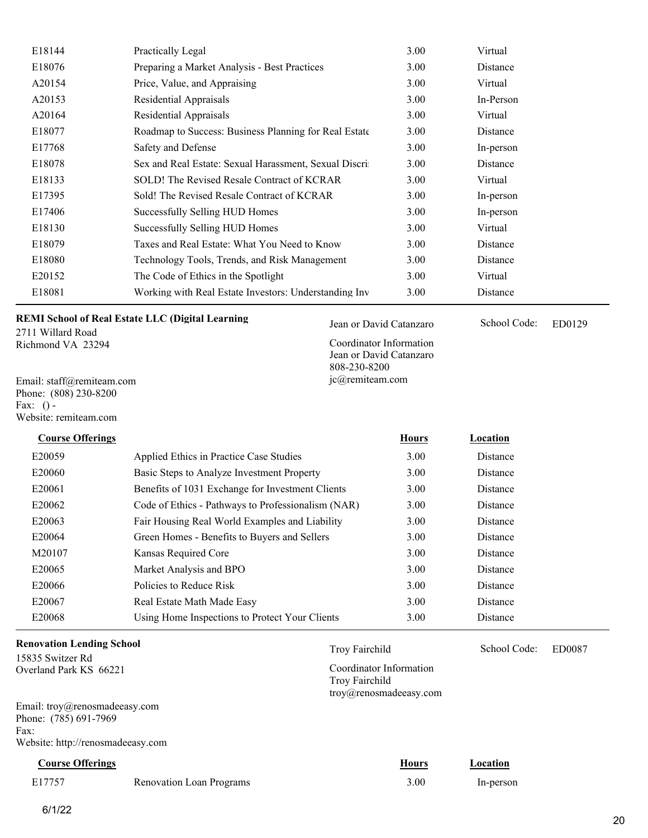| E18144 | Practically Legal                                     | 3.00 | Virtual   |
|--------|-------------------------------------------------------|------|-----------|
| E18076 | Preparing a Market Analysis - Best Practices          | 3.00 | Distance  |
| A20154 | Price, Value, and Appraising                          | 3.00 | Virtual   |
| A20153 | Residential Appraisals                                | 3.00 | In-Person |
| A20164 | Residential Appraisals                                | 3.00 | Virtual   |
| E18077 | Roadmap to Success: Business Planning for Real Estate | 3.00 | Distance  |
| E17768 | Safety and Defense                                    | 3.00 | In-person |
| E18078 | Sex and Real Estate: Sexual Harassment, Sexual Discri | 3.00 | Distance  |
| E18133 | SOLD! The Revised Resale Contract of KCRAR            | 3.00 | Virtual   |
| E17395 | Sold! The Revised Resale Contract of KCRAR            | 3.00 | In-person |
| E17406 | Successfully Selling HUD Homes                        | 3.00 | In-person |
| E18130 | Successfully Selling HUD Homes                        | 3.00 | Virtual   |
| E18079 | Taxes and Real Estate: What You Need to Know          | 3.00 | Distance  |
| E18080 | Technology Tools, Trends, and Risk Management         | 3.00 | Distance  |
| E20152 | The Code of Ethics in the Spotlight                   | 3.00 | Virtual   |
| E18081 | Working with Real Estate Investors: Understanding Inv | 3.00 | Distance  |

**REMI School of Real Estate LLC (Digital Learning** 

2711 Willard Road Richmond VA 23294

Email: staff@remiteam.com Phone: (808) 230-8200 Fax:  $()$  -Website: remiteam.com

E20059 Applied Ethics in Practice Case Studies 3.00 Distance E20060 Basic Steps to Analyze Investment Property 3.00 Distance E20061 Benefits of 1031 Exchange for Investment Clients 3.00 Distance E20062 Code of Ethics - Pathways to Professionalism (NAR) 3.00 Distance E20063 Fair Housing Real World Examples and Liability 3.00 Distance E20064 Green Homes - Benefits to Buyers and Sellers 3.00 Distance M20107 Kansas Required Core 3.00 Distance E20065 Market Analysis and BPO 3.00 Distance E20066 Policies to Reduce Risk 3.00 Distance E20067 Real Estate Math Made Easy 3.00 Distance E20068 Using Home Inspections to Protect Your Clients 3.00 Distance **Course Offerings Course Offerings Hours Location** 

### **Renovation Lending School**

15835 Switzer Rd Overland Park KS 66221

Email: troy@renosmadeeasy.com Phone: (785) 691-7969 Fax: Website: http://renosmadeeasy.com

**Course Offerings** *Location* **<b>Course Offerings** *Location* 

| E17757 | <b>Renovation Loan Programs</b> | 3.00 | In-person |
|--------|---------------------------------|------|-----------|
|        |                                 |      |           |

Coordinator Information Troy Fairchild troy@renosmadeeasy.com

Coordinator Information Jean or David Catanzaro

808-230-8200 jc@remiteam.com

Jean or David Catanzaro School Code: ED0129

School Code:

Troy Fairchild School Code: ED0087 School Code: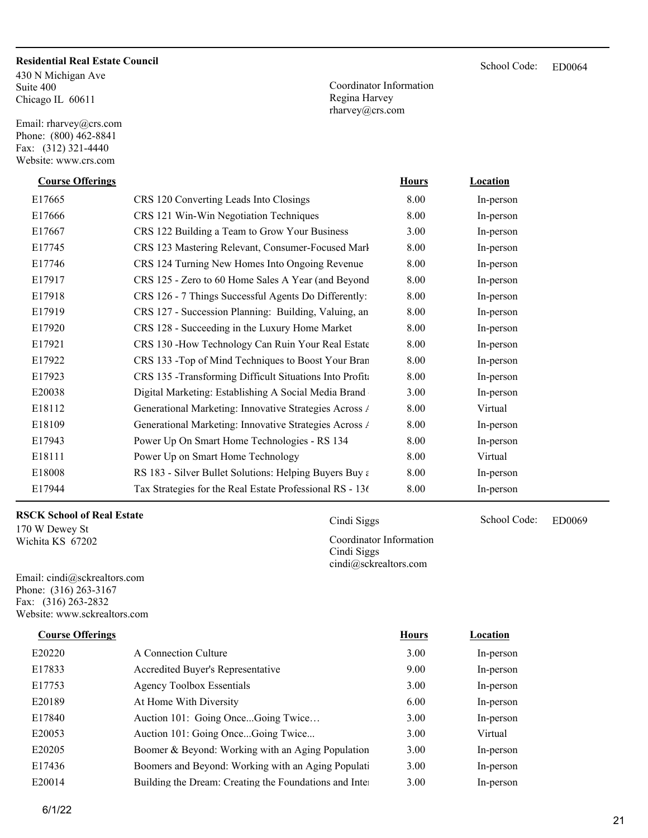### **Residential Real Estate Council**

430 N Michigan Ave Suite 400 Chicago IL 60611

Email: rharvey@crs.com Phone: (800) 462-8841 Fax: (312) 321-4440 Website: www.crs.com

Coordinator Information Regina Harvey rharvey@crs.com

| <b>Course Offerings</b> |                                                          | <b>Hours</b> | <b>Location</b> |  |
|-------------------------|----------------------------------------------------------|--------------|-----------------|--|
| E17665                  | CRS 120 Converting Leads Into Closings                   | 8.00         | In-person       |  |
| E17666                  | CRS 121 Win-Win Negotiation Techniques                   | 8.00         | In-person       |  |
| E17667                  | CRS 122 Building a Team to Grow Your Business            | 3.00         | In-person       |  |
| E17745                  | CRS 123 Mastering Relevant, Consumer-Focused Marl        | 8.00         | In-person       |  |
| E17746                  | CRS 124 Turning New Homes Into Ongoing Revenue           | 8.00         | In-person       |  |
| E17917                  | CRS 125 - Zero to 60 Home Sales A Year (and Beyond       | 8.00         | In-person       |  |
| E17918                  | CRS 126 - 7 Things Successful Agents Do Differently:     | 8.00         | In-person       |  |
| E17919                  | CRS 127 - Succession Planning: Building, Valuing, an     | 8.00         | In-person       |  |
| E17920                  | CRS 128 - Succeeding in the Luxury Home Market           | 8.00         | In-person       |  |
| E17921                  | CRS 130 -How Technology Can Ruin Your Real Estate        | 8.00         | In-person       |  |
| E17922                  | CRS 133 - Top of Mind Techniques to Boost Your Bran      | 8.00         | In-person       |  |
| E17923                  | CRS 135 -Transforming Difficult Situations Into Profit   | 8.00         | In-person       |  |
| E20038                  | Digital Marketing: Establishing A Social Media Brand     | 3.00         | In-person       |  |
| E18112                  | Generational Marketing: Innovative Strategies Across /   | 8.00         | Virtual         |  |
| E18109                  | Generational Marketing: Innovative Strategies Across /   | 8.00         | In-person       |  |
| E17943                  | Power Up On Smart Home Technologies - RS 134             | 8.00         | In-person       |  |
| E18111                  | Power Up on Smart Home Technology                        | 8.00         | Virtual         |  |
| E18008                  | RS 183 - Silver Bullet Solutions: Helping Buyers Buy a   | 8.00         | In-person       |  |
| E17944                  | Tax Strategies for the Real Estate Professional RS - 136 | 8.00         | In-person       |  |

### **RSCK School of Real Estate**

170 W Dewey St Wichita KS 67202

Email: cindi@sckrealtors.com Phone: (316) 263-3167 Fax: (316) 263-2832 Website: www.sckrealtors.com

### **Course Offerings** *Location Location*

| E20220 | A Connection Culture                                    | 3.00 | In-person |
|--------|---------------------------------------------------------|------|-----------|
| E17833 | Accredited Buyer's Representative                       | 9.00 | In-person |
| E17753 | <b>Agency Toolbox Essentials</b>                        | 3.00 | In-person |
| E20189 | At Home With Diversity                                  | 6.00 | In-person |
| E17840 | Auction 101: Going OnceGoing Twice                      | 3.00 | In-person |
| E20053 | Auction 101: Going OnceGoing Twice                      | 3.00 | Virtual   |
| E20205 | Boomer & Beyond: Working with an Aging Population       | 3.00 | In-person |
| E17436 | Boomers and Beyond: Working with an Aging Populati      | 3.00 | In-person |
| E20014 | Building the Dream: Creating the Foundations and Inter- | 3.00 | In-person |

Cindi Siggs School Code: ED0069 Coordinator Information Cindi Siggs cindi@sckrealtors.com

School Code: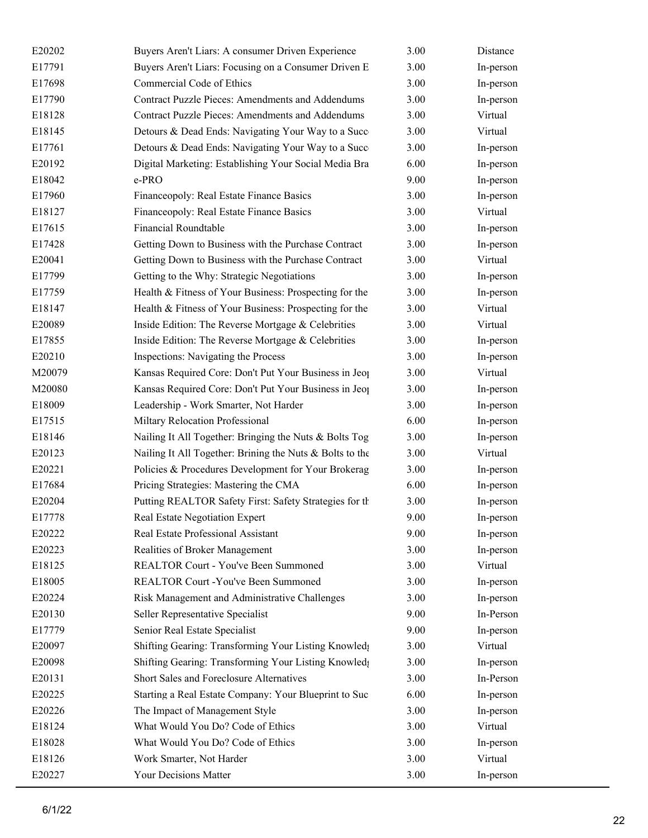| E20202 | Buyers Aren't Liars: A consumer Driven Experience                 | 3.00 | Distance  |
|--------|-------------------------------------------------------------------|------|-----------|
| E17791 | Buyers Aren't Liars: Focusing on a Consumer Driven E              | 3.00 | In-person |
| E17698 | Commercial Code of Ethics                                         | 3.00 | In-person |
| E17790 | Contract Puzzle Pieces: Amendments and Addendums                  | 3.00 | In-person |
| E18128 | <b>Contract Puzzle Pieces: Amendments and Addendums</b>           | 3.00 | Virtual   |
| E18145 | Detours & Dead Ends: Navigating Your Way to a Succ                | 3.00 | Virtual   |
| E17761 | Detours & Dead Ends: Navigating Your Way to a Succ                | 3.00 | In-person |
| E20192 | Digital Marketing: Establishing Your Social Media Bra             | 6.00 | In-person |
| E18042 | e-PRO                                                             | 9.00 | In-person |
| E17960 | Financeopoly: Real Estate Finance Basics                          | 3.00 | In-person |
| E18127 | Financeopoly: Real Estate Finance Basics                          | 3.00 | Virtual   |
| E17615 | <b>Financial Roundtable</b>                                       | 3.00 | In-person |
| E17428 | Getting Down to Business with the Purchase Contract               | 3.00 | In-person |
| E20041 | Getting Down to Business with the Purchase Contract               | 3.00 | Virtual   |
| E17799 | Getting to the Why: Strategic Negotiations                        | 3.00 | In-person |
| E17759 | Health & Fitness of Your Business: Prospecting for the            | 3.00 | In-person |
| E18147 | Health & Fitness of Your Business: Prospecting for the            | 3.00 | Virtual   |
| E20089 | Inside Edition: The Reverse Mortgage & Celebrities                | 3.00 | Virtual   |
| E17855 | Inside Edition: The Reverse Mortgage & Celebrities                | 3.00 | In-person |
| E20210 | Inspections: Navigating the Process                               | 3.00 | In-person |
| M20079 | Kansas Required Core: Don't Put Your Business in Jeo <sub>l</sub> | 3.00 | Virtual   |
| M20080 | Kansas Required Core: Don't Put Your Business in Jeo <sub>l</sub> | 3.00 | In-person |
| E18009 | Leadership - Work Smarter, Not Harder                             | 3.00 | In-person |
| E17515 | Miltary Relocation Professional                                   | 6.00 | In-person |
| E18146 | Nailing It All Together: Bringing the Nuts & Bolts Tog            | 3.00 | In-person |
| E20123 | Nailing It All Together: Brining the Nuts & Bolts to the          | 3.00 | Virtual   |
| E20221 | Policies & Procedures Development for Your Brokerag               | 3.00 | In-person |
| E17684 | Pricing Strategies: Mastering the CMA                             | 6.00 | In-person |
| E20204 | Putting REALTOR Safety First: Safety Strategies for th            | 3.00 | In-person |
| E17778 | Real Estate Negotiation Expert                                    | 9.00 | In-person |
| E20222 | Real Estate Professional Assistant                                | 9.00 | In-person |
| E20223 | Realities of Broker Management                                    | 3.00 | In-person |
| E18125 | REALTOR Court - You've Been Summoned                              | 3.00 | Virtual   |
| E18005 | REALTOR Court - You've Been Summoned                              | 3.00 | In-person |
| E20224 | Risk Management and Administrative Challenges                     | 3.00 | In-person |
| E20130 | Seller Representative Specialist                                  | 9.00 | In-Person |
| E17779 | Senior Real Estate Specialist                                     | 9.00 | In-person |
| E20097 | Shifting Gearing: Transforming Your Listing Knowled;              | 3.00 | Virtual   |
| E20098 | Shifting Gearing: Transforming Your Listing Knowled;              | 3.00 | In-person |
| E20131 | Short Sales and Foreclosure Alternatives                          | 3.00 | In-Person |
| E20225 | Starting a Real Estate Company: Your Blueprint to Suc             | 6.00 | In-person |
| E20226 | The Impact of Management Style                                    | 3.00 | In-person |
| E18124 | What Would You Do? Code of Ethics                                 | 3.00 | Virtual   |
| E18028 | What Would You Do? Code of Ethics                                 | 3.00 | In-person |
| E18126 | Work Smarter, Not Harder                                          | 3.00 | Virtual   |
| E20227 | Your Decisions Matter                                             | 3.00 | In-person |
|        |                                                                   |      |           |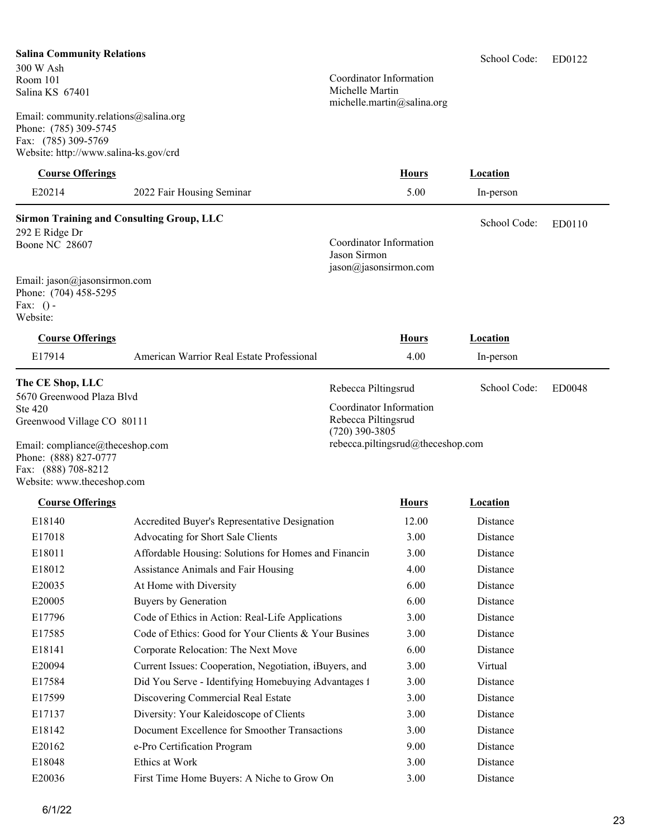### **Salina Community Relations**

300 W Ash Room 101 Salina KS 67401

Email: community.relations@salina.org Phone: (785) 309-5745 Fax: (785) 309-5769 Website: http://www.salina-ks.gov/crd

Coordinator Information Michelle Martin michelle.martin@salina.org

ED0122 School Code:

| <b>Course Offerings</b>                                                                                       |                                                        |                                                                    | <b>Hours</b>                      | <b>Location</b> |               |
|---------------------------------------------------------------------------------------------------------------|--------------------------------------------------------|--------------------------------------------------------------------|-----------------------------------|-----------------|---------------|
| E20214                                                                                                        | 2022 Fair Housing Seminar                              |                                                                    | 5.00                              | In-person       |               |
| <b>Sirmon Training and Consulting Group, LLC</b>                                                              |                                                        |                                                                    |                                   | School Code:    | ED0110        |
| 292 E Ridge Dr<br>Boone NC 28607                                                                              |                                                        | Coordinator Information<br>Jason Sirmon<br>jason@jasonsirmon.com   |                                   |                 |               |
| Email: jason@jasonsirmon.com<br>Phone: (704) 458-5295<br>Fax: $()$ -<br>Website:                              |                                                        |                                                                    |                                   |                 |               |
| <b>Course Offerings</b>                                                                                       |                                                        |                                                                    | <b>Hours</b>                      | <b>Location</b> |               |
| E17914                                                                                                        | American Warrior Real Estate Professional              |                                                                    | 4.00                              | In-person       |               |
| The CE Shop, LLC<br>5670 Greenwood Plaza Blvd                                                                 |                                                        | Rebecca Piltingsrud                                                |                                   | School Code:    | <b>ED0048</b> |
| Ste 420<br>Greenwood Village CO 80111                                                                         |                                                        | Coordinator Information<br>Rebecca Piltingsrud<br>$(720)$ 390-3805 |                                   |                 |               |
| Email: compliance@theceshop.com<br>Phone: (888) 827-0777<br>Fax: (888) 708-8212<br>Website: www.theceshop.com |                                                        |                                                                    | rebecca.piltingsrud@theceshop.com |                 |               |
| <b>Course Offerings</b>                                                                                       |                                                        |                                                                    | <b>Hours</b>                      | <b>Location</b> |               |
| E18140                                                                                                        | Accredited Buyer's Representative Designation          |                                                                    | 12.00                             | Distance        |               |
| E17018                                                                                                        | Advocating for Short Sale Clients                      |                                                                    | 3.00                              | Distance        |               |
| E18011                                                                                                        | Affordable Housing: Solutions for Homes and Financin   |                                                                    | 3.00                              | Distance        |               |
| E18012                                                                                                        | Assistance Animals and Fair Housing                    |                                                                    | 4.00                              | Distance        |               |
| E20035                                                                                                        | At Home with Diversity                                 |                                                                    | 6.00                              | Distance        |               |
| E20005                                                                                                        | Buyers by Generation                                   |                                                                    | 6.00                              | Distance        |               |
| E17796                                                                                                        | Code of Ethics in Action: Real-Life Applications       |                                                                    | 3.00                              | Distance        |               |
| E17585                                                                                                        | Code of Ethics: Good for Your Clients & Your Busines   |                                                                    | 3.00                              | Distance        |               |
| E18141                                                                                                        | Corporate Relocation: The Next Move                    |                                                                    | 6.00                              | Distance        |               |
| E20094                                                                                                        | Current Issues: Cooperation, Negotiation, iBuyers, and |                                                                    | 3.00                              | Virtual         |               |
| E17584                                                                                                        | Did You Serve - Identifying Homebuying Advantages 1    |                                                                    | 3.00                              | Distance        |               |
| E17599                                                                                                        | Discovering Commercial Real Estate                     |                                                                    | 3.00                              | Distance        |               |
| E17137                                                                                                        | Diversity: Your Kaleidoscope of Clients                |                                                                    | 3.00                              | Distance        |               |
| E18142                                                                                                        | Document Excellence for Smoother Transactions          |                                                                    | 3.00                              | Distance        |               |
| E20162                                                                                                        | e-Pro Certification Program                            |                                                                    | 9.00                              | Distance        |               |
| E18048                                                                                                        | Ethics at Work                                         |                                                                    | 3.00                              | Distance        |               |
| E20036                                                                                                        | First Time Home Buyers: A Niche to Grow On             |                                                                    | 3.00                              | Distance        |               |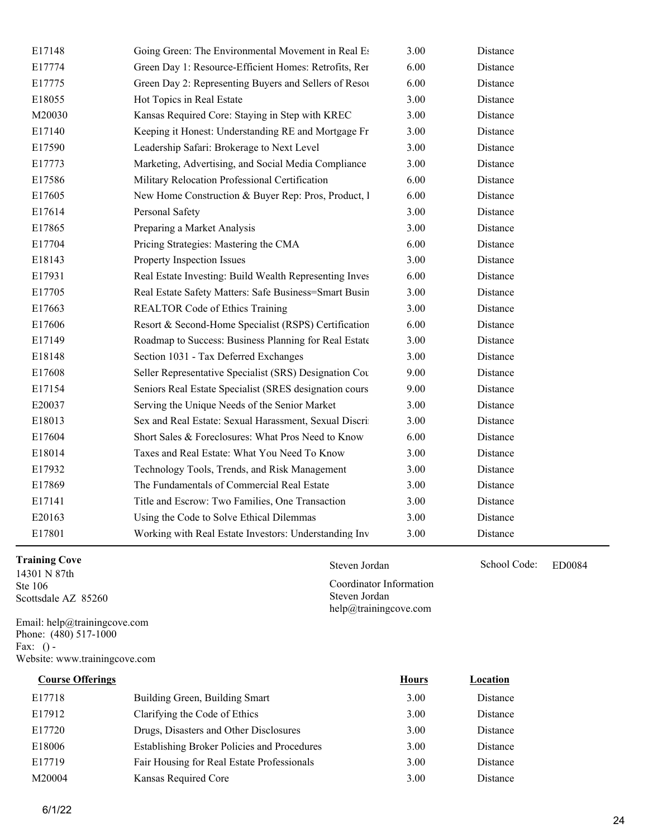| E17148 | Going Green: The Environmental Movement in Real Es     | 3.00 | Distance |
|--------|--------------------------------------------------------|------|----------|
| E17774 | Green Day 1: Resource-Efficient Homes: Retrofits, Rer  | 6.00 | Distance |
| E17775 | Green Day 2: Representing Buyers and Sellers of Resou  | 6.00 | Distance |
| E18055 | Hot Topics in Real Estate                              | 3.00 | Distance |
| M20030 | Kansas Required Core: Staying in Step with KREC        | 3.00 | Distance |
| E17140 | Keeping it Honest: Understanding RE and Mortgage Fr    | 3.00 | Distance |
| E17590 | Leadership Safari: Brokerage to Next Level             | 3.00 | Distance |
| E17773 | Marketing, Advertising, and Social Media Compliance    | 3.00 | Distance |
| E17586 | Military Relocation Professional Certification         | 6.00 | Distance |
| E17605 | New Home Construction & Buyer Rep: Pros, Product, 1    | 6.00 | Distance |
| E17614 | Personal Safety                                        | 3.00 | Distance |
| E17865 | Preparing a Market Analysis                            | 3.00 | Distance |
| E17704 | Pricing Strategies: Mastering the CMA                  | 6.00 | Distance |
| E18143 | Property Inspection Issues                             | 3.00 | Distance |
| E17931 | Real Estate Investing: Build Wealth Representing Inves | 6.00 | Distance |
| E17705 | Real Estate Safety Matters: Safe Business=Smart Busin  | 3.00 | Distance |
| E17663 | REALTOR Code of Ethics Training                        | 3.00 | Distance |
| E17606 | Resort & Second-Home Specialist (RSPS) Certification   | 6.00 | Distance |
| E17149 | Roadmap to Success: Business Planning for Real Estate  | 3.00 | Distance |
| E18148 | Section 1031 - Tax Deferred Exchanges                  | 3.00 | Distance |
| E17608 | Seller Representative Specialist (SRS) Designation Cou | 9.00 | Distance |
| E17154 | Seniors Real Estate Specialist (SRES designation cours | 9.00 | Distance |
| E20037 | Serving the Unique Needs of the Senior Market          | 3.00 | Distance |
| E18013 | Sex and Real Estate: Sexual Harassment, Sexual Discri  | 3.00 | Distance |
| E17604 | Short Sales & Foreclosures: What Pros Need to Know     | 6.00 | Distance |
| E18014 | Taxes and Real Estate: What You Need To Know           | 3.00 | Distance |
| E17932 | Technology Tools, Trends, and Risk Management          | 3.00 | Distance |
| E17869 | The Fundamentals of Commercial Real Estate             | 3.00 | Distance |
| E17141 | Title and Escrow: Two Families, One Transaction        | 3.00 | Distance |
| E20163 | Using the Code to Solve Ethical Dilemmas               | 3.00 | Distance |
| E17801 | Working with Real Estate Investors: Understanding Inv  | 3.00 | Distance |

## **Training Cove** Steven Jordan Steven Jordan School Code:

14301 N 87th Ste 106 Scottsdale AZ 85260

Email: help@trainingcove.com Phone: (480) 517-1000 Fax:  $()$  -Website: www.trainingcove.com

| <b>Course Offerings</b> |                                                    | <b>Hours</b> | Location |
|-------------------------|----------------------------------------------------|--------------|----------|
| E17718                  | Building Green, Building Smart                     | 3.00         | Distance |
| E17912                  | Clarifying the Code of Ethics                      | 3.00         | Distance |
| E17720                  | Drugs, Disasters and Other Disclosures             | 3.00         | Distance |
| E18006                  | <b>Establishing Broker Policies and Procedures</b> | 3.00         | Distance |
| E17719                  | Fair Housing for Real Estate Professionals         | 3.00         | Distance |
| M20004                  | Kansas Required Core                               | 3.00         | Distance |

Steven Jordan School Code: ED0084

Coordinator Information Steven Jordan help@trainingcove.com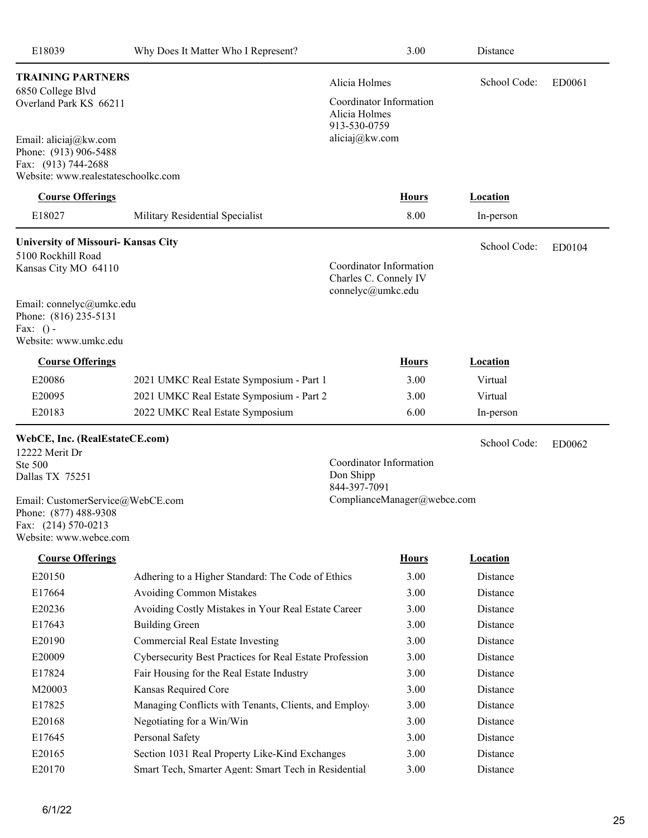| E18039                                                                                                       | Why Does It Matter Who I Represent?                     |                                                                       | 3.00         | Distance        |        |
|--------------------------------------------------------------------------------------------------------------|---------------------------------------------------------|-----------------------------------------------------------------------|--------------|-----------------|--------|
| <b>TRAINING PARTNERS</b><br>6850 College Blvd                                                                |                                                         | Alicia Holmes                                                         |              | School Code:    | ED0061 |
| Overland Park KS 66211                                                                                       |                                                         | Coordinator Information<br>Alicia Holmes<br>913-530-0759              |              |                 |        |
| Email: aliciaj@kw.com<br>Phone: (913) 906-5488<br>Fax: (913) 744-2688<br>Website: www.realestateschoolkc.com |                                                         | aliciaj@kw.com                                                        |              |                 |        |
| <b>Course Offerings</b>                                                                                      |                                                         |                                                                       | <b>Hours</b> | <b>Location</b> |        |
| E18027                                                                                                       | Military Residential Specialist                         |                                                                       | 8.00         | In-person       |        |
| <b>University of Missouri- Kansas City</b>                                                                   |                                                         |                                                                       |              | School Code:    |        |
| 5100 Rockhill Road                                                                                           |                                                         |                                                                       |              |                 | ED0104 |
| Kansas City MO 64110                                                                                         |                                                         | Coordinator Information<br>Charles C. Connely IV<br>connelyc@umkc.edu |              |                 |        |
| Email: connelyc@umkc.edu                                                                                     |                                                         |                                                                       |              |                 |        |
| Phone: (816) 235-5131<br>Fax: $()$ -<br>Website: www.umkc.edu                                                |                                                         |                                                                       |              |                 |        |
| <b>Course Offerings</b>                                                                                      |                                                         |                                                                       | <b>Hours</b> | <b>Location</b> |        |
| E20086                                                                                                       | 2021 UMKC Real Estate Symposium - Part 1                |                                                                       | 3.00         | Virtual         |        |
| E20095                                                                                                       | 2021 UMKC Real Estate Symposium - Part 2                |                                                                       | 3.00         | Virtual         |        |
| E20183                                                                                                       | 2022 UMKC Real Estate Symposium                         |                                                                       | 6.00         | In-person       |        |
| WebCE, Inc. (RealEstateCE.com)                                                                               |                                                         |                                                                       |              | School Code:    |        |
| 12222 Merit Dr                                                                                               |                                                         |                                                                       |              |                 | ED0062 |
| Ste 500<br>Dallas TX 75251                                                                                   |                                                         | Coordinator Information<br>Don Shipp                                  |              |                 |        |
|                                                                                                              |                                                         | 844-397-7091                                                          |              |                 |        |
| Email: CustomerService@WebCE.com<br>Phone: (877) 488-9308<br>Fax: (214) 570-0213                             |                                                         | ComplianceManager@webce.com                                           |              |                 |        |
| Website: www.webce.com                                                                                       |                                                         |                                                                       |              |                 |        |
| <b>Course Offerings</b>                                                                                      |                                                         |                                                                       | <b>Hours</b> | <b>Location</b> |        |
| E20150                                                                                                       | Adhering to a Higher Standard: The Code of Ethics       |                                                                       | 3.00         | Distance        |        |
| E17664                                                                                                       | <b>Avoiding Common Mistakes</b>                         |                                                                       | 3.00         | Distance        |        |
| E20236                                                                                                       | Avoiding Costly Mistakes in Your Real Estate Career     |                                                                       | 3.00         | Distance        |        |
| E17643                                                                                                       | <b>Building Green</b>                                   |                                                                       | 3.00         | Distance        |        |
| E20190                                                                                                       | <b>Commercial Real Estate Investing</b>                 |                                                                       | 3.00         | Distance        |        |
| E20009                                                                                                       | Cybersecurity Best Practices for Real Estate Profession |                                                                       | 3.00         | Distance        |        |
| E17824                                                                                                       | Fair Housing for the Real Estate Industry               |                                                                       | 3.00         | Distance        |        |
| M20003                                                                                                       | Kansas Required Core                                    |                                                                       | 3.00         | Distance        |        |
| E17825                                                                                                       | Managing Conflicts with Tenants, Clients, and Employ    |                                                                       | 3.00         | Distance        |        |
| E20168                                                                                                       | Negotiating for a Win/Win                               |                                                                       | 3.00         | Distance        |        |
| E17645                                                                                                       | Personal Safety                                         |                                                                       | 3.00         | Distance        |        |
| E20165                                                                                                       | Section 1031 Real Property Like-Kind Exchanges          |                                                                       | 3.00         | Distance        |        |
| E20170                                                                                                       | Smart Tech, Smarter Agent: Smart Tech in Residential    |                                                                       | 3.00         | Distance        |        |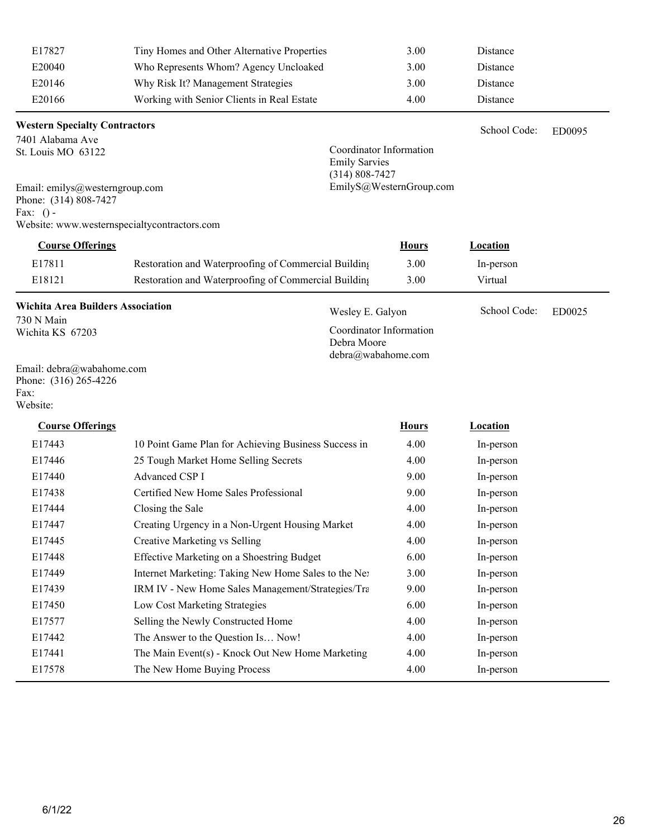| E17827 | Tiny Homes and Other Alternative Properties | 3.00 | Distance |
|--------|---------------------------------------------|------|----------|
| E20040 | Who Represents Whom? Agency Uncloaked       | 3.00 | Distance |
| E20146 | Why Risk It? Management Strategies          | 3.00 | Distance |
| E20166 | Working with Senior Clients in Real Estate  | 4.00 | Distance |

### **Western Specialty Contractors**

7401 Alabama Ave St. Louis MO 63122

ED0095 School Code:

Coordinator Information Emily Sarvies (314) 808-7427 EmilyS@WesternGroup.com

Email: emilys@westerngroup.com Phone: (314) 808-7427 Fax:  $()$  -Website: www.westernspecialtycontractors.com

| <b>Course Offerings</b> |                                                      | <u>Hours</u> | <u>Location</u> |  |
|-------------------------|------------------------------------------------------|--------------|-----------------|--|
| E17811                  | Restoration and Waterproofing of Commercial Building | 3.00         | In-person       |  |
| E18121                  | Restoration and Waterproofing of Commercial Building | 3.00         | Virtual         |  |

| <b>Wichita Area Builders Association</b> | Wesley E. Galyon        | School Code: | ED0025 |
|------------------------------------------|-------------------------|--------------|--------|
| 730 N Main                               |                         |              |        |
| Wichita KS 67203                         | Coordinator Information |              |        |
|                                          | Debra Moore             |              |        |
|                                          | debra@wabahome.com      |              |        |

Email: debra@wabahome.com Phone: (316) 265-4226 Fax: Website:

| <b>Course Offerings</b> |                                                              | <b>Hours</b> | Location  |
|-------------------------|--------------------------------------------------------------|--------------|-----------|
| E17443                  | 10 Point Game Plan for Achieving Business Success in         | 4.00         | In-person |
| E17446                  | 25 Tough Market Home Selling Secrets                         | 4.00         | In-person |
| E17440                  | Advanced CSP I                                               | 9.00         | In-person |
| E17438                  | Certified New Home Sales Professional                        | 9.00         | In-person |
| E17444                  | Closing the Sale                                             | 4.00         | In-person |
| E17447                  | Creating Urgency in a Non-Urgent Housing Market              | 4.00         | In-person |
| E17445                  | Creative Marketing vs Selling                                | 4.00         | In-person |
| E17448                  | Effective Marketing on a Shoestring Budget                   | 6.00         | In-person |
| E17449                  | Internet Marketing: Taking New Home Sales to the Ne:         | 3.00         | In-person |
| E17439                  | <b>IRM IV - New Home Sales Management/Strategies/Trangle</b> | 9.00         | In-person |
| E17450                  | Low Cost Marketing Strategies                                | 6.00         | In-person |
| E17577                  | Selling the Newly Constructed Home                           | 4.00         | In-person |
| E17442                  | The Answer to the Question Is Now!                           | 4.00         | In-person |
| E17441                  | The Main Event(s) - Knock Out New Home Marketing             | 4.00         | In-person |
| E17578                  | The New Home Buying Process                                  | 4.00         | In-person |